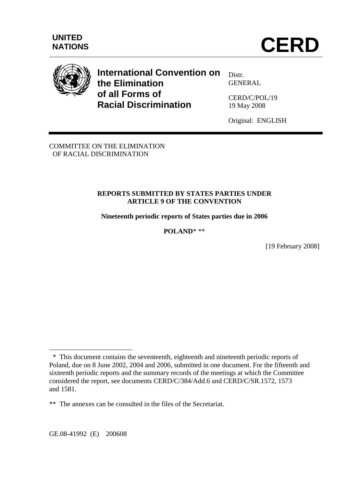

# **International Convention on the Elimination of all Forms of Racial Discrimination**

Distr. **GENERAL** 

CERD/C/POL/19 19 May 2008

Original: ENGLISH

COMMITTEE ON THE ELIMINATION OF RACIAL DISCRIMINATION

## **REPORTS SUBMITTED BY STATES PARTIES UNDER ARTICLE 9 OF THE CONVENTION**

**Nineteenth periodic reports of States parties due in 2006** 

**POLAND**\* \*\*

[19 February 2008]

 $\overline{a}$ 

\* This document contains the seventeenth, eighteenth and nineteenth periodic reports of Poland, due on 8 June 2002, 2004 and 2006, submitted in one document. For the fifteenth and sixteenth periodic reports and the summary records of the meetings at which the Committee considered the report, see documents CERD/C/384/Add.6 and CERD/C/SR.1572, 1573 and 1581.

<sup>\*\*</sup> The annexes can be consulted in the files of the Secretariat.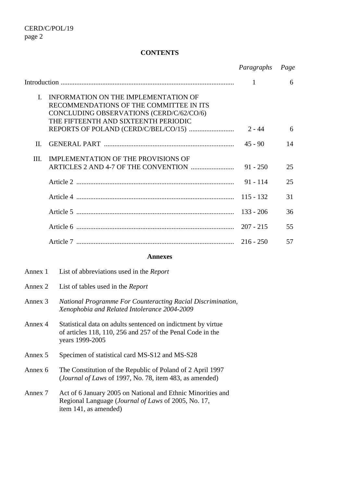#### **CONTENTS**

|              |                                                                                                                                                                     | Paragraphs   | Page |
|--------------|---------------------------------------------------------------------------------------------------------------------------------------------------------------------|--------------|------|
|              |                                                                                                                                                                     | $\mathbf{1}$ | 6    |
| $\mathbf{I}$ | INFORMATION ON THE IMPLEMENTATION OF<br>RECOMMENDATIONS OF THE COMMITTEE IN ITS<br>CONCLUDING OBSERVATIONS (CERD/C/62/CO/6)<br>THE FIFTEENTH AND SIXTEENTH PERIODIC |              |      |
|              |                                                                                                                                                                     | $2 - 44$     | 6    |
| $\Pi$        |                                                                                                                                                                     |              | 14   |
| Ш.           | IMPLEMENTATION OF THE PROVISIONS OF                                                                                                                                 | $91 - 250$   | 25   |
|              |                                                                                                                                                                     | $91 - 114$   | 25   |
|              |                                                                                                                                                                     | $115 - 132$  | 31   |
|              |                                                                                                                                                                     | $133 - 206$  | 36   |
|              |                                                                                                                                                                     | $207 - 215$  | 55   |
|              |                                                                                                                                                                     | $216 - 250$  | 57   |

#### **Annexes**

- Annex 1 List of abbreviations used in the *Report*
- Annex 2 List of tables used in the *Report*
- Annex 3 *National Programme For Counteracting Racial Discrimination, Xenophobia and Related Intolerance 2004-2009*
- Annex 4 Statistical data on adults sentenced on indictment by virtue of articles 118, 110, 256 and 257 of the Penal Code in the years 1999-2005
- Annex 5 Specimen of statistical card MS-S12 and MS-S28
- Annex 6 The Constitution of the Republic of Poland of 2 April 1997 (*Journal of Laws* of 1997, No. 78, item 483, as amended)
- Annex 7 Act of 6 January 2005 on National and Ethnic Minorities and Regional Language (*Journal of Laws* of 2005, No. 17, item 141, as amended)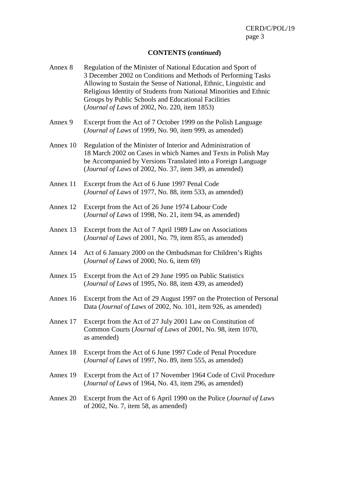## **CONTENTS (***continued***)**

| Annex 8  | Regulation of the Minister of National Education and Sport of<br>3 December 2002 on Conditions and Methods of Performing Tasks<br>Allowing to Sustain the Sense of National, Ethnic, Linguistic and<br>Religious Identity of Students from National Minorities and Ethnic<br>Groups by Public Schools and Educational Facilities<br>(Journal of Laws of 2002, No. 220, item 1853) |
|----------|-----------------------------------------------------------------------------------------------------------------------------------------------------------------------------------------------------------------------------------------------------------------------------------------------------------------------------------------------------------------------------------|
| Annex 9  | Excerpt from the Act of 7 October 1999 on the Polish Language<br>(Journal of Laws of 1999, No. 90, item 999, as amended)                                                                                                                                                                                                                                                          |
| Annex 10 | Regulation of the Minister of Interior and Administration of<br>18 March 2002 on Cases in which Names and Texts in Polish May<br>be Accompanied by Versions Translated into a Foreign Language<br>(Journal of Laws of 2002, No. 37, item 349, as amended)                                                                                                                         |
| Annex 11 | Excerpt from the Act of 6 June 1997 Penal Code<br>(Journal of Laws of 1977, No. 88, item 533, as amended)                                                                                                                                                                                                                                                                         |
| Annex 12 | Excerpt from the Act of 26 June 1974 Labour Code<br>(Journal of Laws of 1998, No. 21, item 94, as amended)                                                                                                                                                                                                                                                                        |
| Annex 13 | Excerpt from the Act of 7 April 1989 Law on Associations<br>(Journal of Laws of 2001, No. 79, item 855, as amended)                                                                                                                                                                                                                                                               |
| Annex 14 | Act of 6 January 2000 on the Ombudsman for Children's Rights<br>(Journal of Laws of 2000, No. 6, item 69)                                                                                                                                                                                                                                                                         |
| Annex 15 | Excerpt from the Act of 29 June 1995 on Public Statistics<br>(Journal of Laws of 1995, No. 88, item 439, as amended)                                                                                                                                                                                                                                                              |
| Annex 16 | Excerpt from the Act of 29 August 1997 on the Protection of Personal<br>Data (Journal of Laws of 2002, No. 101, item 926, as amended)                                                                                                                                                                                                                                             |
| Annex 17 | Excerpt from the Act of 27 July 2001 Law on Constitution of<br>Common Courts (Journal of Laws of 2001, No. 98, item 1070,<br>as amended)                                                                                                                                                                                                                                          |
| Annex 18 | Excerpt from the Act of 6 June 1997 Code of Penal Procedure<br>(Journal of Laws of 1997, No. 89, item 555, as amended)                                                                                                                                                                                                                                                            |
| Annex 19 | Excerpt from the Act of 17 November 1964 Code of Civil Procedure<br>(Journal of Laws of 1964, No. 43, item 296, as amended)                                                                                                                                                                                                                                                       |
| Annex 20 | Excerpt from the Act of 6 April 1990 on the Police (Journal of Laws<br>of $2002$ , No. 7, item 58, as amended)                                                                                                                                                                                                                                                                    |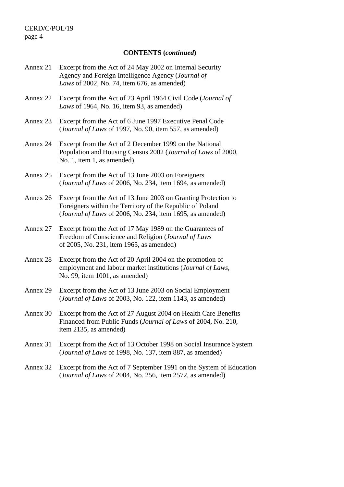#### **CONTENTS (***continued***)**

- Annex 21 Excerpt from the Act of 24 May 2002 on Internal Security Agency and Foreign Intelligence Agency (*Journal of Laws* of 2002, No. 74, item 676, as amended)
- Annex 22 Excerpt from the Act of 23 April 1964 Civil Code (*Journal of Laws* of 1964, No. 16, item 93, as amended)
- Annex 23 Excerpt from the Act of 6 June 1997 Executive Penal Code (*Journal of Laws* of 1997, No. 90, item 557, as amended)
- Annex 24 Excerpt from the Act of 2 December 1999 on the National Population and Housing Census 2002 (*Journal of Laws* of 2000, No. 1, item 1, as amended)
- Annex 25 Excerpt from the Act of 13 June 2003 on Foreigners (*Journal of Laws* of 2006, No. 234, item 1694, as amended)
- Annex 26 Excerpt from the Act of 13 June 2003 on Granting Protection to Foreigners within the Territory of the Republic of Poland (*Journal of Laws* of 2006, No. 234, item 1695, as amended)
- Annex 27 Excerpt from the Act of 17 May 1989 on the Guarantees of Freedom of Conscience and Religion (*Journal of Laws* of 2005, No. 231, item 1965, as amended)
- Annex 28 Excerpt from the Act of 20 April 2004 on the promotion of employment and labour market institutions (*Journal of Laws*, No. 99, item 1001, as amended)
- Annex 29 Excerpt from the Act of 13 June 2003 on Social Employment (*Journal of Laws* of 2003, No. 122, item 1143, as amended)
- Annex 30 Excerpt from the Act of 27 August 2004 on Health Care Benefits Financed from Public Funds (*Journal of Laws* of 2004, No. 210, item 2135, as amended)
- Annex 31 Excerpt from the Act of 13 October 1998 on Social Insurance System (*Journal of Laws* of 1998, No. 137, item 887, as amended)
- Annex 32 Excerpt from the Act of 7 September 1991 on the System of Education (*Journal of Laws* of 2004, No. 256, item 2572, as amended)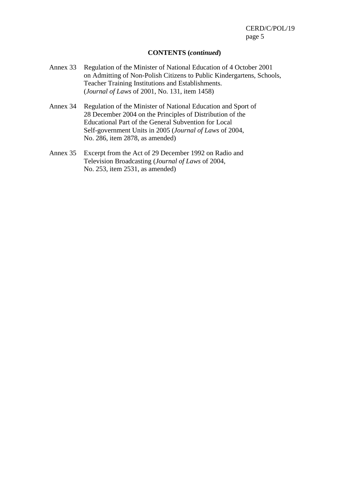#### **CONTENTS (***continued***)**

- Annex 33 Regulation of the Minister of National Education of 4 October 2001 on Admitting of Non-Polish Citizens to Public Kindergartens, Schools, Teacher Training Institutions and Establishments. (*Journal of Laws* of 2001, No. 131, item 1458)
- Annex 34 Regulation of the Minister of National Education and Sport of 28 December 2004 on the Principles of Distribution of the Educational Part of the General Subvention for Local Self-government Units in 2005 (*Journal of Laws* of 2004, No. 286, item 2878, as amended)
- Annex 35 Excerpt from the Act of 29 December 1992 on Radio and Television Broadcasting (*Journal of Laws* of 2004, No. 253, item 2531, as amended)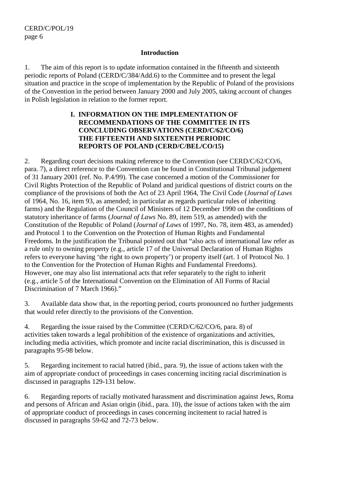#### **Introduction**

1. The aim of this report is to update information contained in the fifteenth and sixteenth periodic reports of Poland (CERD/C/384/Add.6) to the Committee and to present the legal situation and practice in the scope of implementation by the Republic of Poland of the provisions of the Convention in the period between January 2000 and July 2005, taking account of changes in Polish legislation in relation to the former report.

## **I. INFORMATION ON THE IMPLEMENTATION OF RECOMMENDATIONS OF THE COMMITTEE IN ITS CONCLUDING OBSERVATIONS (CERD/C/62/CO/6) THE FIFTEENTH AND SIXTEENTH PERIODIC REPORTS OF POLAND (CERD/C/BEL/CO/15)**

2. Regarding court decisions making reference to the Convention (see CERD/C/62/CO/6, para. 7), a direct reference to the Convention can be found in Constitutional Tribunal judgement of 31 January 2001 (ref. No. P.4/99). The case concerned a motion of the Commissioner for Civil Rights Protection of the Republic of Poland and juridical questions of district courts on the compliance of the provisions of both the Act of 23 April 1964, The Civil Code (*Journal of Laws* of 1964, No. 16, item 93, as amended; in particular as regards particular rules of inheriting farms) and the Regulation of the Council of Ministers of 12 December 1990 on the conditions of statutory inheritance of farms (*Journal of Laws* No. 89, item 519, as amended) with the Constitution of the Republic of Poland (*Journal of Laws* of 1997, No. 78, item 483, as amended) and Protocol 1 to the Convention on the Protection of Human Rights and Fundamental Freedoms*.* In the justification the Tribunal pointed out that "also acts of international law refer as a rule only to owning property (e.g., article 17 of the Universal Declaration of Human Rights refers to everyone having 'the right to own property') or property itself (art. 1 of Protocol No. 1 to the Convention for the Protection of Human Rights and Fundamental Freedoms). However, one may also list international acts that refer separately to the right to inherit (e.g., article 5 of the International Convention on the Elimination of All Forms of Racial Discrimination of 7 March 1966)."

3. Available data show that, in the reporting period, courts pronounced no further judgements that would refer directly to the provisions of the Convention.

4. Regarding the issue raised by the Committee (CERD/C/62/CO/6, para. 8) of activities taken towards a legal prohibition of the existence of organizations and activities, including media activities, which promote and incite racial discrimination, this is discussed in paragraphs 95-98 below.

5. Regarding incitement to racial hatred (ibid., para. 9), the issue of actions taken with the aim of appropriate conduct of proceedings in cases concerning inciting racial discrimination is discussed in paragraphs 129-131 below.

6. Regarding reports of racially motivated harassment and discrimination against Jews, Roma and persons of African and Asian origin (ibid., para. 10), the issue of actions taken with the aim of appropriate conduct of proceedings in cases concerning incitement to racial hatred is discussed in paragraphs 59-62 and 72-73 below.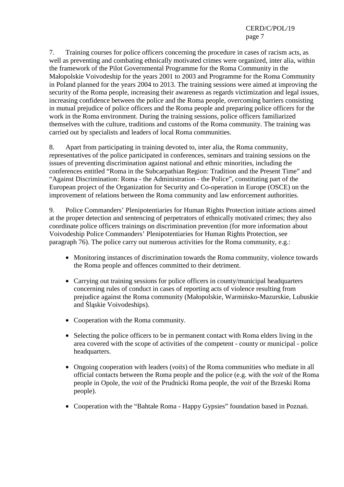7. Training courses for police officers concerning the procedure in cases of racism acts, as well as preventing and combating ethnically motivated crimes were organized, inter alia, within the framework of the Pilot Governmental Programme for the Roma Community in the Małopolskie Voivodeship for the years 2001 to 2003 and Programme for the Roma Community in Poland planned for the years 2004 to 2013. The training sessions were aimed at improving the security of the Roma people, increasing their awareness as regards victimization and legal issues, increasing confidence between the police and the Roma people, overcoming barriers consisting in mutual prejudice of police officers and the Roma people and preparing police officers for the work in the Roma environment. During the training sessions, police officers familiarized themselves with the culture, traditions and customs of the Roma community. The training was carried out by specialists and leaders of local Roma communities.

8. Apart from participating in training devoted to, inter alia, the Roma community, representatives of the police participated in conferences, seminars and training sessions on the issues of preventing discrimination against national and ethnic minorities, including the conferences entitled "Roma in the Subcarpathian Region: Tradition and the Present Time" and "Against Discrimination: Roma - the Administration - the Police", constituting part of the European project of the Organization for Security and Co-operation in Europe (OSCE) on the improvement of relations between the Roma community and law enforcement authorities.

9. Police Commanders' Plenipotentiaries for Human Rights Protection initiate actions aimed at the proper detection and sentencing of perpetrators of ethnically motivated crimes; they also coordinate police officers trainings on discrimination prevention (for more information about Voivodeship Police Commanders' Plenipotentiaries for Human Rights Protection, see paragraph 76). The police carry out numerous activities for the Roma community, e.g.:

- Monitoring instances of discrimination towards the Roma community, violence towards the Roma people and offences committed to their detriment.
- Carrying out training sessions for police officers in county/municipal headquarters concerning rules of conduct in cases of reporting acts of violence resulting from prejudice against the Roma community (Małopolskie, Warmińsko-Mazurskie, Lubuskie and Śląskie Voivodeships).
- Cooperation with the Roma community.
- Selecting the police officers to be in permanent contact with Roma elders living in the area covered with the scope of activities of the competent - county or municipal - police headquarters.
- Ongoing cooperation with leaders (*voits*) of the Roma communities who mediate in all official contacts between the Roma people and the police (e.g. with the *voit* of the Roma people in Opole, the *voit* of the Prudnicki Roma people, the *voit* of the Brzeski Roma people).
- Cooperation with the "Bahtałe Roma Happy Gypsies" foundation based in Poznań.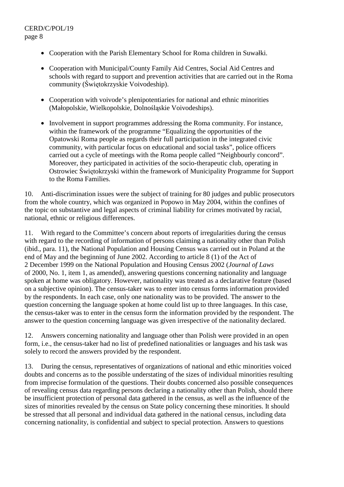- Cooperation with the Parish Elementary School for Roma children in Suwałki.
- Cooperation with Municipal/County Family Aid Centres, Social Aid Centres and schools with regard to support and prevention activities that are carried out in the Roma community (Świętokrzyskie Voivodeship).
- Cooperation with voivode's plenipotentiaries for national and ethnic minorities (Małopolskie, Wielkopolskie, Dolnośląskie Voivodeships).
- Involvement in support programmes addressing the Roma community. For instance, within the framework of the programme "Equalizing the opportunities of the Opatowski Roma people as regards their full participation in the integrated civic community, with particular focus on educational and social tasks", police officers carried out a cycle of meetings with the Roma people called "Neighbourly concord". Moreover, they participated in activities of the socio-therapeutic club, operating in Ostrowiec Świętokrzyski within the framework of Municipality Programme for Support to the Roma Families.

10. Anti-discrimination issues were the subject of training for 80 judges and public prosecutors from the whole country, which was organized in Popowo in May 2004, within the confines of the topic on substantive and legal aspects of criminal liability for crimes motivated by racial, national, ethnic or religious differences.

11. With regard to the Committee's concern about reports of irregularities during the census with regard to the recording of information of persons claiming a nationality other than Polish (ibid., para. 11), the National Population and Housing Census was carried out in Poland at the end of May and the beginning of June 2002. According to article 8 (1) of the Act of 2 December 1999 on the National Population and Housing Census 2002 (*Journal of Laws* of 2000, No. 1, item 1, as amended), answering questions concerning nationality and language spoken at home was obligatory. However, nationality was treated as a declarative feature (based on a subjective opinion). The census-taker was to enter into census forms information provided by the respondents. In each case, only one nationality was to be provided. The answer to the question concerning the language spoken at home could list up to three languages. In this case, the census-taker was to enter in the census form the information provided by the respondent. The answer to the question concerning language was given irrespective of the nationality declared.

12. Answers concerning nationality and language other than Polish were provided in an open form, i.e., the census-taker had no list of predefined nationalities or languages and his task was solely to record the answers provided by the respondent.

13. During the census, representatives of organizations of national and ethic minorities voiced doubts and concerns as to the possible understating of the sizes of individual minorities resulting from imprecise formulation of the questions. Their doubts concerned also possible consequences of revealing census data regarding persons declaring a nationality other than Polish, should there be insufficient protection of personal data gathered in the census, as well as the influence of the sizes of minorities revealed by the census on State policy concerning these minorities. It should be stressed that all personal and individual data gathered in the national census, including data concerning nationality, is confidential and subject to special protection. Answers to questions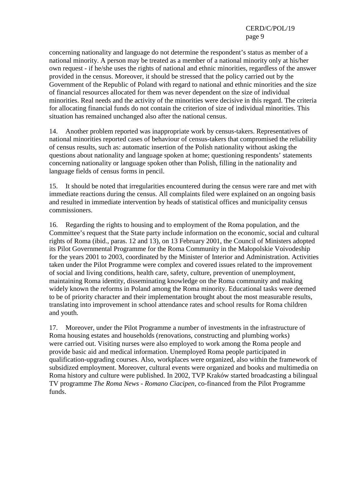concerning nationality and language do not determine the respondent's status as member of a national minority. A person may be treated as a member of a national minority only at his/her own request - if he/she uses the rights of national and ethnic minorities, regardless of the answer provided in the census. Moreover, it should be stressed that the policy carried out by the Government of the Republic of Poland with regard to national and ethnic minorities and the size of financial resources allocated for them was never dependent on the size of individual minorities. Real needs and the activity of the minorities were decisive in this regard. The criteria for allocating financial funds do not contain the criterion of size of individual minorities. This situation has remained unchanged also after the national census.

14. Another problem reported was inappropriate work by census-takers. Representatives of national minorities reported cases of behaviour of census-takers that compromised the reliability of census results, such as: automatic insertion of the Polish nationality without asking the questions about nationality and language spoken at home; questioning respondents' statements concerning nationality or language spoken other than Polish, filling in the nationality and language fields of census forms in pencil.

15. It should be noted that irregularities encountered during the census were rare and met with immediate reactions during the census. All complaints filed were explained on an ongoing basis and resulted in immediate intervention by heads of statistical offices and municipality census commissioners.

16. Regarding the rights to housing and to employment of the Roma population, and the Committee's request that the State party include information on the economic, social and cultural rights of Roma (ibid., paras. 12 and 13), on 13 February 2001, the Council of Ministers adopted its Pilot Governmental Programme for the Roma Community in the Małopolskie Voivodeship for the years 2001 to 2003, coordinated by the Minister of Interior and Administration. Activities taken under the Pilot Programme were complex and covered issues related to the improvement of social and living conditions, health care, safety, culture, prevention of unemployment, maintaining Roma identity, disseminating knowledge on the Roma community and making widely known the reforms in Poland among the Roma minority. Educational tasks were deemed to be of priority character and their implementation brought about the most measurable results, translating into improvement in school attendance rates and school results for Roma children and youth.

17. Moreover, under the Pilot Programme a number of investments in the infrastructure of Roma housing estates and households (renovations, constructing and plumbing works) were carried out. Visiting nurses were also employed to work among the Roma people and provide basic aid and medical information. Unemployed Roma people participated in qualification-upgrading courses. Also, workplaces were organized, also within the framework of subsidized employment. Moreover, cultural events were organized and books and multimedia on Roma history and culture were published. In 2002, TVP Kraków started broadcasting a bilingual TV programme *The Roma News - Romano Ciacipen*, co-financed from the Pilot Programme funds.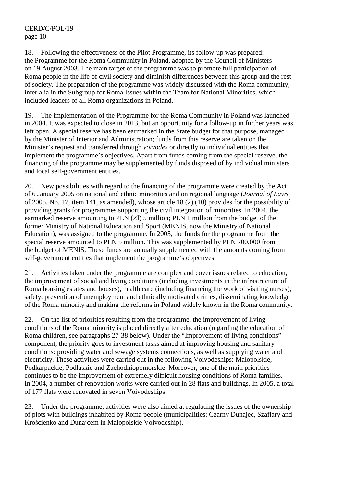18. Following the effectiveness of the Pilot Programme, its follow-up was prepared: the Programme for the Roma Community in Poland, adopted by the Council of Ministers on 19 August 2003*.* The main target of the programme was to promote full participation of Roma people in the life of civil society and diminish differences between this group and the rest of society. The preparation of the programme was widely discussed with the Roma community, inter alia in the Subgroup for Roma Issues within the Team for National Minorities, which included leaders of all Roma organizations in Poland.

19. The implementation of the Programme for the Roma Community in Poland was launched in 2004. It was expected to close in 2013, but an opportunity for a follow-up in further years was left open. A special reserve has been earmarked in the State budget for that purpose, managed by the Minister of Interior and Administration; funds from this reserve are taken on the Minister's request and transferred through *voivodes* or directly to individual entities that implement the programme's objectives. Apart from funds coming from the special reserve, the financing of the programme may be supplemented by funds disposed of by individual ministers and local self-government entities.

20. New possibilities with regard to the financing of the programme were created by the Act of 6 January 2005 on national and ethnic minorities and on regional language (*Journal of Laws* of 2005, No. 17, item 141, as amended), whose article 18 (2) (10) provides for the possibility of providing grants for programmes supporting the civil integration of minorities. In 2004, the earmarked reserve amounting to PLN (Zl) 5 million; PLN 1 million from the budget of the former Ministry of National Education and Sport (MENIS, now the Ministry of National Education), was assigned to the programme. In 2005, the funds for the programme from the special reserve amounted to PLN 5 million. This was supplemented by PLN 700,000 from the budget of MENIS. These funds are annually supplemented with the amounts coming from self-government entities that implement the programme's objectives.

21. Activities taken under the programme are complex and cover issues related to education, the improvement of social and living conditions (including investments in the infrastructure of Roma housing estates and houses), health care (including financing the work of visiting nurses), safety, prevention of unemployment and ethnically motivated crimes, disseminating knowledge of the Roma minority and making the reforms in Poland widely known in the Roma community.

22. On the list of priorities resulting from the programme*,* the improvement of living conditions of the Roma minority is placed directly after education (regarding the education of Roma children, see paragraphs 27-38 below). Under the "Improvement of living conditions" component, the priority goes to investment tasks aimed at improving housing and sanitary conditions: providing water and sewage systems connections, as well as supplying water and electricity. These activities were carried out in the following Voivodeships: Małopolskie, Podkarpackie, Podlaskie and Zachodniopomorskie. Moreover, one of the main priorities continues to be the improvement of extremely difficult housing conditions of Roma families. In 2004, a number of renovation works were carried out in 28 flats and buildings. In 2005, a total of 177 flats were renovated in seven Voivodeships.

23. Under the programme, activities were also aimed at regulating the issues of the ownership of plots with buildings inhabited by Roma people (municipalities: Czarny Dunajec, Szaflary and Krościenko and Dunajcem in Małopolskie Voivodeship).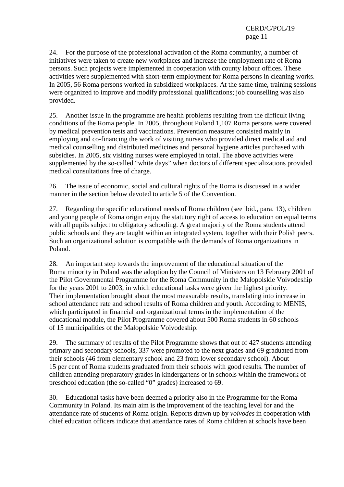24. For the purpose of the professional activation of the Roma community, a number of initiatives were taken to create new workplaces and increase the employment rate of Roma persons. Such projects were implemented in cooperation with county labour offices. These activities were supplemented with short-term employment for Roma persons in cleaning works. In 2005, 56 Roma persons worked in subsidized workplaces. At the same time, training sessions were organized to improve and modify professional qualifications; job counselling was also provided.

25. Another issue in the programme are health problems resulting from the difficult living conditions of the Roma people. In 2005, throughout Poland 1,107 Roma persons were covered by medical prevention tests and vaccinations. Prevention measures consisted mainly in employing and co-financing the work of visiting nurses who provided direct medical aid and medical counselling and distributed medicines and personal hygiene articles purchased with subsidies. In 2005, six visiting nurses were employed in total. The above activities were supplemented by the so-called "white days" when doctors of different specializations provided medical consultations free of charge.

26. The issue of economic, social and cultural rights of the Roma is discussed in a wider manner in the section below devoted to article 5 of the Convention.

27. Regarding the specific educational needs of Roma children (see ibid., para. 13), children and young people of Roma origin enjoy the statutory right of access to education on equal terms with all pupils subject to obligatory schooling. A great majority of the Roma students attend public schools and they are taught within an integrated system, together with their Polish peers. Such an organizational solution is compatible with the demands of Roma organizations in Poland.

28. An important step towards the improvement of the educational situation of the Roma minority in Poland was the adoption by the Council of Ministers on 13 February 2001 of the Pilot Governmental Programme for the Roma Community in the Małopolskie Voivodeship for the years 2001 to 2003, in which educational tasks were given the highest priority. Their implementation brought about the most measurable results, translating into increase in school attendance rate and school results of Roma children and youth. According to MENIS, which participated in financial and organizational terms in the implementation of the educational module, the Pilot Programme covered about 500 Roma students in 60 schools of 15 municipalities of the Małopolskie Voivodeship.

29. The summary of results of the Pilot Programme shows that out of 427 students attending primary and secondary schools, 337 were promoted to the next grades and 69 graduated from their schools (46 from elementary school and 23 from lower secondary school). About 15 per cent of Roma students graduated from their schools with good results. The number of children attending preparatory grades in kindergartens or in schools within the framework of preschool education (the so-called "0" grades) increased to 69.

30. Educational tasks have been deemed a priority also in the Programme for the Roma Community in Poland*.* Its main aim is the improvement of the teaching level for and the attendance rate of students of Roma origin. Reports drawn up by *voivodes* in cooperation with chief education officers indicate that attendance rates of Roma children at schools have been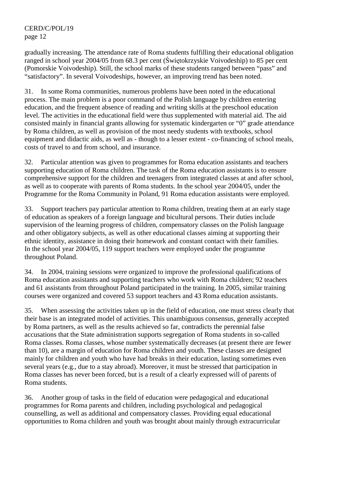gradually increasing. The attendance rate of Roma students fulfilling their educational obligation ranged in school year 2004/05 from 68.3 per cent (Świętokrzyskie Voivodeship) to 85 per cent (Pomorskie Voivodeship). Still, the school marks of these students ranged between "pass" and "satisfactory". In several Voivodeships, however, an improving trend has been noted.

31. In some Roma communities, numerous problems have been noted in the educational process. The main problem is a poor command of the Polish language by children entering education, and the frequent absence of reading and writing skills at the preschool education level. The activities in the educational field were thus supplemented with material aid. The aid consisted mainly in financial grants allowing for systematic kindergarten or "0" grade attendance by Roma children, as well as provision of the most needy students with textbooks, school equipment and didactic aids, as well as - though to a lesser extent - co-financing of school meals, costs of travel to and from school, and insurance.

32. Particular attention was given to programmes for Roma education assistants and teachers supporting education of Roma children. The task of the Roma education assistants is to ensure comprehensive support for the children and teenagers from integrated classes at and after school, as well as to cooperate with parents of Roma students. In the school year 2004/05, under the Programme for the Roma Community in Poland, 91 Roma education assistants were employed.

33. Support teachers pay particular attention to Roma children, treating them at an early stage of education as speakers of a foreign language and bicultural persons. Their duties include supervision of the learning progress of children, compensatory classes on the Polish language and other obligatory subjects, as well as other educational classes aiming at supporting their ethnic identity, assistance in doing their homework and constant contact with their families. In the school year 2004/05, 119 support teachers were employed under the programme throughout Poland.

34. In 2004, training sessions were organized to improve the professional qualifications of Roma education assistants and supporting teachers who work with Roma children; 92 teachers and 61 assistants from throughout Poland participated in the training. In 2005, similar training courses were organized and covered 53 support teachers and 43 Roma education assistants.

35. When assessing the activities taken up in the field of education, one must stress clearly that their base is an integrated model of activities. This unambiguous consensus, generally accepted by Roma partners, as well as the results achieved so far, contradicts the perennial false accusations that the State administration supports segregation of Roma students in so-called Roma classes. Roma classes, whose number systematically decreases (at present there are fewer than 10), are a margin of education for Roma children and youth. These classes are designed mainly for children and youth who have had breaks in their education, lasting sometimes even several years (e.g., due to a stay abroad). Moreover, it must be stressed that participation in Roma classes has never been forced, but is a result of a clearly expressed will of parents of Roma students.

36. Another group of tasks in the field of education were pedagogical and educational programmes for Roma parents and children, including psychological and pedagogical counselling, as well as additional and compensatory classes. Providing equal educational opportunities to Roma children and youth was brought about mainly through extracurricular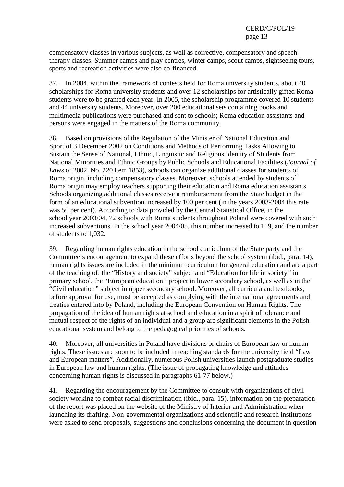compensatory classes in various subjects, as well as corrective, compensatory and speech therapy classes. Summer camps and play centres, winter camps, scout camps, sightseeing tours, sports and recreation activities were also co-financed.

37. In 2004, within the framework of contests held for Roma university students, about 40 scholarships for Roma university students and over 12 scholarships for artistically gifted Roma students were to be granted each year. In 2005, the scholarship programme covered 10 students and 44 university students. Moreover, over 200 educational sets containing books and multimedia publications were purchased and sent to schools; Roma education assistants and persons were engaged in the matters of the Roma community.

38. Based on provisions of the Regulation of the Minister of National Education and Sport of 3 December 2002 on Conditions and Methods of Performing Tasks Allowing to Sustain the Sense of National, Ethnic, Linguistic and Religious Identity of Students from National Minorities and Ethnic Groups by Public Schools and Educational Facilities (*Journal of Laws* of 2002, No. 220 item 1853), schools can organize additional classes for students of Roma origin, including compensatory classes. Moreover, schools attended by students of Roma origin may employ teachers supporting their education and Roma education assistants. Schools organizing additional classes receive a reimbursement from the State budget in the form of an educational subvention increased by 100 per cent (in the years 2003-2004 this rate was 50 per cent). According to data provided by the Central Statistical Office, in the school year 2003/04, 72 schools with Roma students throughout Poland were covered with such increased subventions. In the school year 2004/05, this number increased to 119, and the number of students to 1,032.

39. Regarding human rights education in the school curriculum of the State party and the Committee's encouragement to expand these efforts beyond the school system (ibid., para. 14), human rights issues are included in the minimum curriculum for general education and are a part of the teaching of: the "History and society" subject and "Education for life in society*"* in primary school, the "European education*"* project in lower secondary school, as well as in the "Civil education*"* subject in upper secondary school. Moreover, all curricula and textbooks, before approval for use, must be accepted as complying with the international agreements and treaties entered into by Poland, including the European Convention on Human Rights. The propagation of the idea of human rights at school and education in a spirit of tolerance and mutual respect of the rights of an individual and a group are significant elements in the Polish educational system and belong to the pedagogical priorities of schools.

40. Moreover, all universities in Poland have divisions or chairs of European law or human rights. These issues are soon to be included in teaching standards for the university field "Law and European matters". Additionally, numerous Polish universities launch postgraduate studies in European law and human rights. (The issue of propagating knowledge and attitudes concerning human rights is discussed in paragraphs 61-77 below.)

41. Regarding the encouragement by the Committee to consult with organizations of civil society working to combat racial discrimination (ibid., para. 15)*,* information on the preparation of the report was placed on the website of the Ministry of Interior and Administration when launching its drafting. Non-governmental organizations and scientific and research institutions were asked to send proposals, suggestions and conclusions concerning the document in question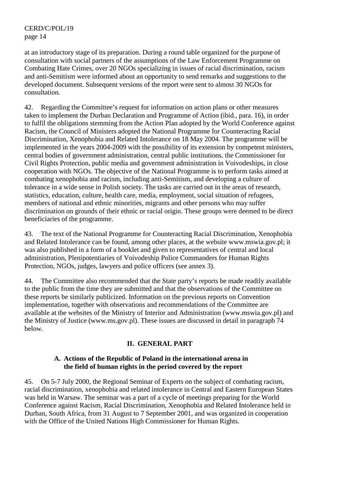at an introductory stage of its preparation. During a round table organized for the purpose of consultation with social partners of the assumptions of the Law Enforcement Programme on Combating Hate Crimes, over 20 NGOs specializing in issues of racial discrimination, racism and anti-Semitism were informed about an opportunity to send remarks and suggestions to the developed document. Subsequent versions of the report were sent to almost 30 NGOs for consultation.

42. Regarding the Committee's request for information on action plans or other measures taken to implement the Durban Declaration and Programme of Action (ibid., para. 16), in order to fulfil the obligations stemming from the Action Plan adopted by the World Conference against Racism, the Council of Ministers adopted the National Programme for Counteracting Racial Discrimination, Xenophobia and Related Intolerance on 18 May 2004. The programme will be implemented in the years 2004-2009 with the possibility of its extension by competent ministers, central bodies of government administration, central public institutions, the Commissioner for Civil Rights Protection, public media and government administration in Voivodeships, in close cooperation with NGOs. The objective of the National Programme is to perform tasks aimed at combating xenophobia and racism, including anti-Semitism, and developing a culture of tolerance in a wide sense in Polish society. The tasks are carried out in the areas of research, statistics, education, culture, health care, media, employment, social situation of refugees, members of national and ethnic minorities, migrants and other persons who may suffer discrimination on grounds of their ethnic or racial origin. These groups were deemed to be direct beneficiaries of the programme.

43. The text of the National Programme for Counteracting Racial Discrimination, Xenophobia and Related Intolerance can be found, among other places, at the website www.mswia.gov.pl; it was also published in a form of a booklet and given to representatives of central and local administration, Plenipotentiaries of Voivodeship Police Commanders for Human Rights Protection, NGOs, judges, lawyers and police officers (see annex 3).

44. The Committee also recommended that the State party's reports be made readily available to the public from the time they are submitted and that the observations of the Committee on these reports be similarly publicized. Information on the previous reports on Convention implementation, together with observations and recommendations of the Committee are available at the websites of the Ministry of Interior and Administration (www.mswia.gov.pl) and the Ministry of Justice (www.ms.gov.pl). These issues are discussed in detail in paragraph 74 below.

## **II. GENERAL PART**

## **A. Actions of the Republic of Poland in the international arena in the field of human rights in the period covered by the report**

45. On 5-7 July 2000, the Regional Seminar of Experts on the subject of combating racism, racial discrimination, xenophobia and related intolerance in Central and Eastern European States was held in Warsaw. The seminar was a part of a cycle of meetings preparing for the World Conference against Racism, Racial Discrimination, Xenophobia and Related Intolerance held in Durban, South Africa, from 31 August to 7 September 2001, and was organized in cooperation with the Office of the United Nations High Commissioner for Human Rights.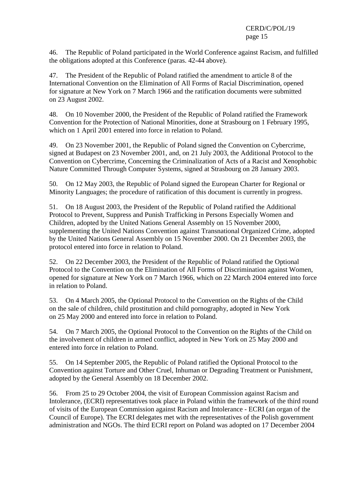46. The Republic of Poland participated in the World Conference against Racism, and fulfilled the obligations adopted at this Conference (paras. 42-44 above).

47. The President of the Republic of Poland ratified the amendment to article 8 of the International Convention on the Elimination of All Forms of Racial Discrimination, opened for signature at New York on 7 March 1966 and the ratification documents were submitted on 23 August 2002.

48. On 10 November 2000, the President of the Republic of Poland ratified the Framework Convention for the Protection of National Minorities, done at Strasbourg on 1 February 1995, which on 1 April 2001 entered into force in relation to Poland.

49. On 23 November 2001, the Republic of Poland signed the Convention on Cybercrime, signed at Budapest on 23 November 2001, and, on 21 July 2003, the Additional Protocol to the Convention on Cybercrime, Concerning the Criminalization of Acts of a Racist and Xenophobic Nature Committed Through Computer Systems, signed at Strasbourg on 28 January 2003.

50. On 12 May 2003, the Republic of Poland signed the European Charter for Regional or Minority Languages; the procedure of ratification of this document is currently in progress.

51. On 18 August 2003, the President of the Republic of Poland ratified the Additional Protocol to Prevent, Suppress and Punish Trafficking in Persons Especially Women and Children, adopted by the United Nations General Assembly on 15 November 2000, supplementing the United Nations Convention against Transnational Organized Crime, adopted by the United Nations General Assembly on 15 November 2000. On 21 December 2003, the protocol entered into force in relation to Poland.

52. On 22 December 2003, the President of the Republic of Poland ratified the Optional Protocol to the Convention on the Elimination of All Forms of Discrimination against Women, opened for signature at New York on 7 March 1966, which on 22 March 2004 entered into force in relation to Poland.

53. On 4 March 2005, the Optional Protocol to the Convention on the Rights of the Child on the sale of children, child prostitution and child pornography, adopted in New York on 25 May 2000 and entered into force in relation to Poland.

54. On 7 March 2005, the Optional Protocol to the Convention on the Rights of the Child on the involvement of children in armed conflict, adopted in New York on 25 May 2000 and entered into force in relation to Poland.

55. On 14 September 2005, the Republic of Poland ratified the Optional Protocol to the Convention against Torture and Other Cruel, Inhuman or Degrading Treatment or Punishment, adopted by the General Assembly on 18 December 2002.

56. From 25 to 29 October 2004, the visit of European Commission against Racism and Intolerance, (ECRI) representatives took place in Poland within the framework of the third round of visits of the European Commission against Racism and Intolerance - ECRI (an organ of the Council of Europe). The ECRI delegates met with the representatives of the Polish government administration and NGOs. The third ECRI report on Poland was adopted on 17 December 2004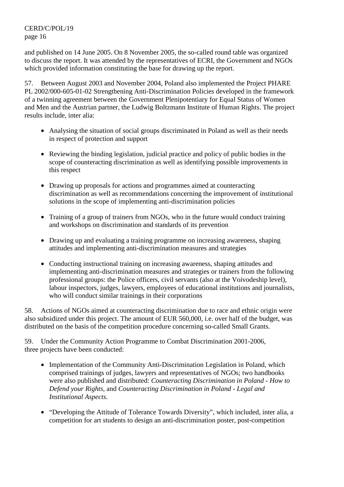and published on 14 June 2005. On 8 November 2005, the so-called round table was organized to discuss the report. It was attended by the representatives of ECRI, the Government and NGOs which provided information constituting the base for drawing up the report.

57. Between August 2003 and November 2004, Poland also implemented the Project PHARE PL 2002/000-605-01-02 Strengthening Anti-Discrimination Policies developed in the framework of a twinning agreement between the Government Plenipotentiary for Equal Status of Women and Men and the Austrian partner, the Ludwig Boltzmann Institute of Human Rights. The project results include, inter alia:

- Analysing the situation of social groups discriminated in Poland as well as their needs in respect of protection and support
- Reviewing the binding legislation, judicial practice and policy of public bodies in the scope of counteracting discrimination as well as identifying possible improvements in this respect
- Drawing up proposals for actions and programmes aimed at counteracting discrimination as well as recommendations concerning the improvement of institutional solutions in the scope of implementing anti-discrimination policies
- Training of a group of trainers from NGOs, who in the future would conduct training and workshops on discrimination and standards of its prevention
- Drawing up and evaluating a training programme on increasing awareness, shaping attitudes and implementing anti-discrimination measures and strategies
- Conducting instructional training on increasing awareness, shaping attitudes and implementing anti-discrimination measures and strategies or trainers from the following professional groups: the Police officers, civil servants (also at the Voivodeship level), labour inspectors, judges, lawyers, employees of educational institutions and journalists, who will conduct similar trainings in their corporations

58. Actions of NGOs aimed at counteracting discrimination due to race and ethnic origin were also subsidized under this project. The amount of EUR 560,000, i.e. over half of the budget, was distributed on the basis of the competition procedure concerning so-called Small Grants.

59. Under the Community Action Programme to Combat Discrimination 2001-2006, three projects have been conducted:

- Implementation of the Community Anti-Discrimination Legislation in Poland, which comprised trainings of judges, lawyers and representatives of NGOs; two handbooks were also published and distributed: *Counteracting Discrimination in Poland - How to Defend your Rights,* and *Counteracting Discrimination in Poland - Legal and Institutional Aspects*.
- "Developing the Attitude of Tolerance Towards Diversity", which included, inter alia, a competition for art students to design an anti-discrimination poster, post-competition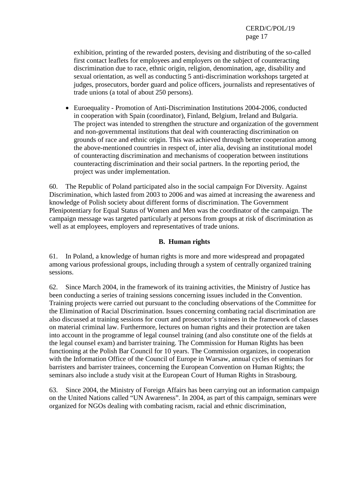exhibition, printing of the rewarded posters, devising and distributing of the so-called first contact leaflets for employees and employers on the subject of counteracting discrimination due to race, ethnic origin, religion, denomination, age, disability and sexual orientation, as well as conducting 5 anti-discrimination workshops targeted at judges, prosecutors, border guard and police officers, journalists and representatives of trade unions (a total of about 250 persons).

• Euroequality - Promotion of Anti-Discrimination Institutions 2004-2006, conducted in cooperation with Spain (coordinator), Finland, Belgium, Ireland and Bulgaria. The project was intended to strengthen the structure and organization of the government and non-governmental institutions that deal with counteracting discrimination on grounds of race and ethnic origin. This was achieved through better cooperation among the above-mentioned countries in respect of, inter alia, devising an institutional model of counteracting discrimination and mechanisms of cooperation between institutions counteracting discrimination and their social partners. In the reporting period, the project was under implementation.

60. The Republic of Poland participated also in the social campaign For Diversity. Against Discrimination, which lasted from 2003 to 2006 and was aimed at increasing the awareness and knowledge of Polish society about different forms of discrimination. The Government Plenipotentiary for Equal Status of Women and Men was the coordinator of the campaign. The campaign message was targeted particularly at persons from groups at risk of discrimination as well as at employees, employers and representatives of trade unions.

## **B. Human rights**

61. In Poland, a knowledge of human rights is more and more widespread and propagated among various professional groups, including through a system of centrally organized training sessions.

62. Since March 2004, in the framework of its training activities, the Ministry of Justice has been conducting a series of training sessions concerning issues included in the Convention. Training projects were carried out pursuant to the concluding observations of the Committee for the Elimination of Racial Discrimination. Issues concerning combating racial discrimination are also discussed at training sessions for court and prosecutor's trainees in the framework of classes on material criminal law. Furthermore, lectures on human rights and their protection are taken into account in the programme of legal counsel training (and also constitute one of the fields at the legal counsel exam) and barrister training. The Commission for Human Rights has been functioning at the Polish Bar Council for 10 years. The Commission organizes, in cooperation with the Information Office of the Council of Europe in Warsaw, annual cycles of seminars for barristers and barrister trainees, concerning the European Convention on Human Rights; the seminars also include a study visit at the European Court of Human Rights in Strasbourg.

63. Since 2004, the Ministry of Foreign Affairs has been carrying out an information campaign on the United Nations called "UN Awareness". In 2004, as part of this campaign, seminars were organized for NGOs dealing with combating racism, racial and ethnic discrimination,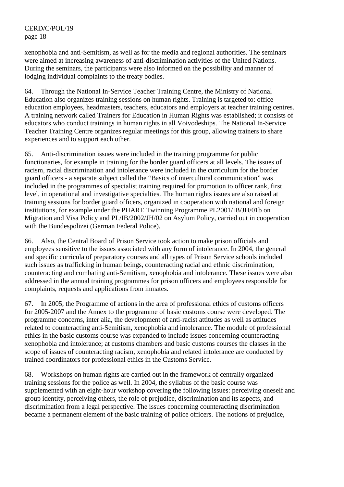xenophobia and anti-Semitism, as well as for the media and regional authorities. The seminars were aimed at increasing awareness of anti-discrimination activities of the United Nations. During the seminars, the participants were also informed on the possibility and manner of lodging individual complaints to the treaty bodies.

64. Through the National In-Service Teacher Training Centre, the Ministry of National Education also organizes training sessions on human rights. Training is targeted to: office education employees, headmasters, teachers, educators and employers at teacher training centres. A training network called Trainers for Education in Human Rights was established; it consists of educators who conduct trainings in human rights in all Voivodeships. The National In-Service Teacher Training Centre organizes regular meetings for this group, allowing trainers to share experiences and to support each other.

65. Anti-discrimination issues were included in the training programme for public functionaries, for example in training for the border guard officers at all levels. The issues of racism, racial discrimination and intolerance were included in the curriculum for the border guard officers - a separate subject called the "Basics of intercultural communication" was included in the programmes of specialist training required for promotion to officer rank, first level, in operational and investigative specialties. The human rights issues are also raised at training sessions for border guard officers, organized in cooperation with national and foreign institutions, for example under the PHARE Twinning Programme PL2001/IB/JH/01b on Migration and Visa Policy and PL/IB/2002/JH/02 on Asylum Policy, carried out in cooperation with the Bundespolizei (German Federal Police).

66. Also, the Central Board of Prison Service took action to make prison officials and employees sensitive to the issues associated with any form of intolerance. In 2004, the general and specific curricula of preparatory courses and all types of Prison Service schools included such issues as trafficking in human beings, counteracting racial and ethnic discrimination, counteracting and combating anti-Semitism, xenophobia and intolerance. These issues were also addressed in the annual training programmes for prison officers and employees responsible for complaints, requests and applications from inmates.

67. In 2005, the Programme of actions in the area of professional ethics of customs officers for 2005-2007 and the Annex to the programme of basic customs course were developed. The programme concerns, inter alia, the development of anti-racist attitudes as well as attitudes related to counteracting anti-Semitism, xenophobia and intolerance. The module of professional ethics in the basic customs course was expanded to include issues concerning counteracting xenophobia and intolerance; at customs chambers and basic customs courses the classes in the scope of issues of counteracting racism, xenophobia and related intolerance are conducted by trained coordinators for professional ethics in the Customs Service.

68. Workshops on human rights are carried out in the framework of centrally organized training sessions for the police as well. In 2004, the syllabus of the basic course was supplemented with an eight-hour workshop covering the following issues: perceiving oneself and group identity, perceiving others, the role of prejudice, discrimination and its aspects, and discrimination from a legal perspective. The issues concerning counteracting discrimination became a permanent element of the basic training of police officers. The notions of prejudice,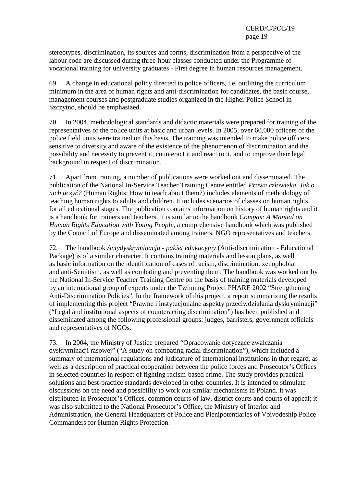stereotypes, discrimination, its sources and forms, discrimination from a perspective of the labour code are discussed during three-hour classes conducted under the Programme of vocational training for university graduates - First degree in human resources management.

69. A change in educational policy directed to police officers, i.e. outlining the curriculum minimum in the area of human rights and anti-discrimination for candidates, the basic course, management courses and postgraduate studies organized in the Higher Police School in Szczytno, should be emphasized.

70. In 2004, methodological standards and didactic materials were prepared for training of the representatives of the police units at basic and urban levels. In 2005, over 60,000 officers of the police field units were trained on this basis. The training was intended to make police officers sensitive to diversity and aware of the existence of the phenomenon of discrimination and the possibility and necessity to prevent it, counteract it and react to it, and to improve their legal background in respect of discrimination.

71. Apart from training, a number of publications were worked out and disseminated. The publication of the National In-Service Teacher Training Centre entitled *Prawa człowieka. Jak o nich uczyć?* (Human Rights: How to teach about them?) includes elements of methodology of teaching human rights to adults and children. It includes scenarios of classes on human rights for all educational stages. The publication contains information on history of human rights and it is a handbook for trainers and teachers. It is similar to the handbook *Compas: A Manual on Human Rights Education with Young People*, a comprehensive handbook which was published by the Council of Europe and disseminated among trainers, NGO representatives and teachers.

72. The handbook *Antydyskryminacja - pakiet edukacyjny* (Anti-discrimination - Educational Package) is of a similar character. It contains training materials and lesson plans, as well as basic information on the identification of cases of racism, discrimination, xenophobia and anti-Semitism, as well as combating and preventing them. The handbook was worked out by the National In-Service Teacher Training Centre on the basis of training materials developed by an international group of experts under the Twinning Project PHARE 2002 "Strengthening Anti-Discrimination Policies". In the framework of this project, a report summarizing the results of implementing this project "Prawne i instytucjonalne aspekty przeciwdziałania dyskryminacji" ("Legal and institutional aspects of counteracting discrimination") has been published and disseminated among the following professional groups: judges, barristers, government officials and representatives of NGOs.

73. In 2004, the Ministry of Justice prepared "Opracowanie dotyczące zwalczania dyskryminacji rasowej" ("A study on combating racial discrimination"), which included a summary of international regulations and judicature of international institutions in that regard, as well as a description of practical cooperation between the police forces and Prosecutor's Offices in selected countries in respect of fighting racism-based crime. The study provides practical solutions and best-practice standards developed in other countries. It is intended to stimulate discussions on the need and possibility to work out similar mechanisms in Poland. It was distributed in Prosecutor's Offices, common courts of law, district courts and courts of appeal; it was also submitted to the National Prosecutor's Office, the Ministry of Interior and Administration, the General Headquarters of Police and Plenipotentiaries of Voivodeship Police Commanders for Human Rights Protection.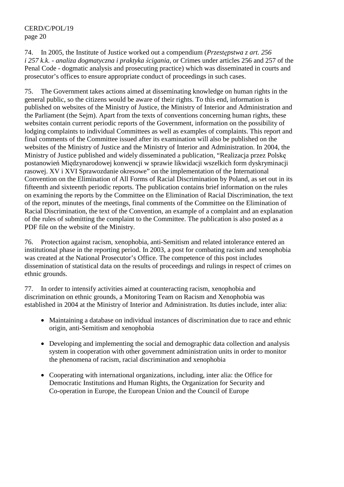74. In 2005, the Institute of Justice worked out a compendium (*Przestępstwa z art. 256 i 257 k.k. - analiza dogmatyczna i praktyka ścigania*, or Crimes under articles 256 and 257 of the Penal Code - dogmatic analysis and prosecuting practice) which was disseminated in courts and prosecutor's offices to ensure appropriate conduct of proceedings in such cases.

75. The Government takes actions aimed at disseminating knowledge on human rights in the general public, so the citizens would be aware of their rights. To this end, information is published on websites of the Ministry of Justice, the Ministry of Interior and Administration and the Parliament (the Sejm). Apart from the texts of conventions concerning human rights, these websites contain current periodic reports of the Government, information on the possibility of lodging complaints to individual Committees as well as examples of complaints. This report and final comments of the Committee issued after its examination will also be published on the websites of the Ministry of Justice and the Ministry of Interior and Administration. In 2004, the Ministry of Justice published and widely disseminated a publication, "Realizacja przez Polskę postanowień Międzynarodowej konwencji w sprawie likwidacji wszelkich form dyskryminacji rasowej. XV i XVI Sprawozdanie okresowe" on the implementation of the International Convention on the Elimination of All Forms of Racial Discrimination by Poland, as set out in its fifteenth and sixteenth periodic reports. The publication contains brief information on the rules on examining the reports by the Committee on the Elimination of Racial Discrimination, the text of the report, minutes of the meetings, final comments of the Committee on the Elimination of Racial Discrimination, the text of the Convention, an example of a complaint and an explanation of the rules of submitting the complaint to the Committee. The publication is also posted as a PDF file on the website of the Ministry.

76. Protection against racism, xenophobia, anti-Semitism and related intolerance entered an institutional phase in the reporting period. In 2003, a post for combating racism and xenophobia was created at the National Prosecutor's Office. The competence of this post includes dissemination of statistical data on the results of proceedings and rulings in respect of crimes on ethnic grounds.

77. In order to intensify activities aimed at counteracting racism, xenophobia and discrimination on ethnic grounds, a Monitoring Team on Racism and Xenophobia was established in 2004 at the Ministry of Interior and Administration. Its duties include, inter alia:

- Maintaining a database on individual instances of discrimination due to race and ethnic origin, anti-Semitism and xenophobia
- Developing and implementing the social and demographic data collection and analysis system in cooperation with other government administration units in order to monitor the phenomena of racism, racial discrimination and xenophobia
- Cooperating with international organizations, including, inter alia: the Office for Democratic Institutions and Human Rights, the Organization for Security and Co-operation in Europe, the European Union and the Council of Europe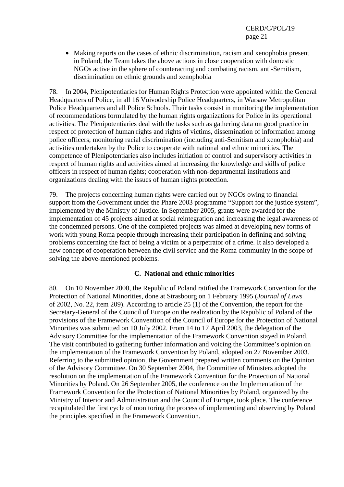• Making reports on the cases of ethnic discrimination, racism and xenophobia present in Poland; the Team takes the above actions in close cooperation with domestic NGOs active in the sphere of counteracting and combating racism, anti-Semitism, discrimination on ethnic grounds and xenophobia

78. In 2004, Plenipotentiaries for Human Rights Protection were appointed within the General Headquarters of Police, in all 16 Voivodeship Police Headquarters, in Warsaw Metropolitan Police Headquarters and all Police Schools. Their tasks consist in monitoring the implementation of recommendations formulated by the human rights organizations for Police in its operational activities. The Plenipotentiaries deal with the tasks such as gathering data on good practice in respect of protection of human rights and rights of victims, dissemination of information among police officers; monitoring racial discrimination (including anti-Semitism and xenophobia) and activities undertaken by the Police to cooperate with national and ethnic minorities. The competence of Plenipotentiaries also includes initiation of control and supervisory activities in respect of human rights and activities aimed at increasing the knowledge and skills of police officers in respect of human rights; cooperation with non-departmental institutions and organizations dealing with the issues of human rights protection.

79. The projects concerning human rights were carried out by NGOs owing to financial support from the Government under the Phare 2003 programme "Support for the justice system", implemented by the Ministry of Justice. In September 2005, grants were awarded for the implementation of 45 projects aimed at social reintegration and increasing the legal awareness of the condemned persons. One of the completed projects was aimed at developing new forms of work with young Roma people through increasing their participation in defining and solving problems concerning the fact of being a victim or a perpetrator of a crime. It also developed a new concept of cooperation between the civil service and the Roma community in the scope of solving the above-mentioned problems.

## **C. National and ethnic minorities**

80. On 10 November 2000, the Republic of Poland ratified the Framework Convention for the Protection of National Minorities, done at Strasbourg on 1 February 1995 (*Journal of Laws* of 2002, No. 22, item 209). According to article 25 (1) of the Convention, the report for the Secretary-General of the Council of Europe on the realization by the Republic of Poland of the provisions of the Framework Convention of the Council of Europe for the Protection of National Minorities was submitted on 10 July 2002. From 14 to 17 April 2003, the delegation of the Advisory Committee for the implementation of the Framework Convention stayed in Poland. The visit contributed to gathering further information and voicing the Committee's opinion on the implementation of the Framework Convention by Poland, adopted on 27 November 2003. Referring to the submitted opinion, the Government prepared written comments on the Opinion of the Advisory Committee. On 30 September 2004, the Committee of Ministers adopted the resolution on the implementation of the Framework Convention for the Protection of National Minorities by Poland. On 26 September 2005, the conference on the Implementation of the Framework Convention for the Protection of National Minorities by Poland, organized by the Ministry of Interior and Administration and the Council of Europe, took place. The conference recapitulated the first cycle of monitoring the process of implementing and observing by Poland the principles specified in the Framework Convention.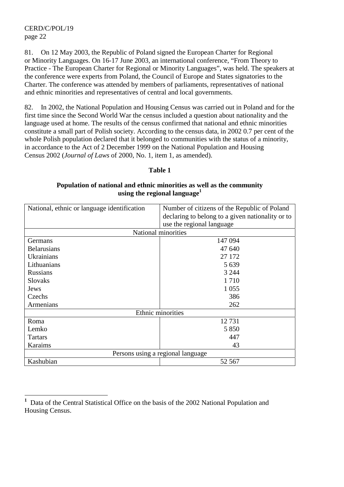81. On 12 May 2003, the Republic of Poland signed the European Charter for Regional or Minority Languages. On 16-17 June 2003, an international conference, "From Theory to Practice - The European Charter for Regional or Minority Languages", was held. The speakers at the conference were experts from Poland, the Council of Europe and States signatories to the Charter. The conference was attended by members of parliaments, representatives of national and ethnic minorities and representatives of central and local governments.

82. In 2002, the National Population and Housing Census was carried out in Poland and for the first time since the Second World War the census included a question about nationality and the language used at home. The results of the census confirmed that national and ethnic minorities constitute a small part of Polish society. According to the census data, in 2002 0.7 per cent of the whole Polish population declared that it belonged to communities with the status of a minority. in accordance to the Act of 2 December 1999 on the National Population and Housing Census 2002 (*Journal of Laws* of 2000, No. 1, item 1, as amended).

#### **Table 1**

#### **Population of national and ethnic minorities as well as the community using the regional language1**

| National, ethnic or language identification | Number of citizens of the Republic of Poland     |  |  |
|---------------------------------------------|--------------------------------------------------|--|--|
|                                             | declaring to belong to a given nationality or to |  |  |
|                                             | use the regional language                        |  |  |
| National minorities                         |                                                  |  |  |
| Germans                                     | 147 094                                          |  |  |
| <b>Belarusians</b>                          | 47 640                                           |  |  |
| Ukrainians                                  | 27 172                                           |  |  |
| Lithuanians                                 | 5 6 3 9                                          |  |  |
| <b>Russians</b>                             | 3 2 4 4                                          |  |  |
| <b>Slovaks</b>                              | 1710                                             |  |  |
| Jews                                        | 1 0 5 5                                          |  |  |
| Czechs                                      | 386                                              |  |  |
| Armenians                                   | 262                                              |  |  |
| Ethnic minorities                           |                                                  |  |  |
| Roma                                        | 12731                                            |  |  |
| Lemko                                       | 5 8 5 0                                          |  |  |
| <b>Tartars</b>                              | 447                                              |  |  |
| Karaims                                     | 43                                               |  |  |
| Persons using a regional language           |                                                  |  |  |
| Kashubian                                   | 52 567                                           |  |  |

 $\overline{a}$ **1** Data of the Central Statistical Office on the basis of the 2002 National Population and Housing Census.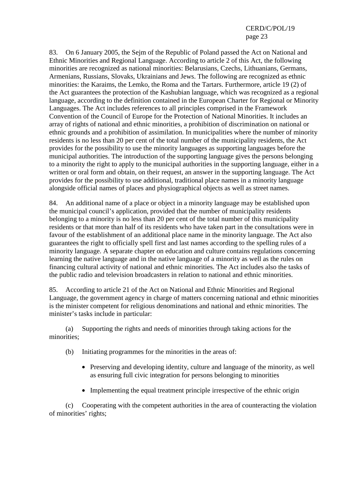83. On 6 January 2005, the Sejm of the Republic of Poland passed the Act on National and Ethnic Minorities and Regional Language. According to article 2 of this Act, the following minorities are recognized as national minorities: Belarusians, Czechs, Lithuanians, Germans, Armenians, Russians, Slovaks, Ukrainians and Jews. The following are recognized as ethnic minorities: the Karaims, the Lemko, the Roma and the Tartars. Furthermore, article 19 (2) of the Act guarantees the protection of the Kashubian language, which was recognized as a regional language, according to the definition contained in the European Charter for Regional or Minority Languages. The Act includes references to all principles comprised in the Framework Convention of the Council of Europe for the Protection of National Minorities. It includes an array of rights of national and ethnic minorities, a prohibition of discrimination on national or ethnic grounds and a prohibition of assimilation. In municipalities where the number of minority residents is no less than 20 per cent of the total number of the municipality residents, the Act provides for the possibility to use the minority languages as supporting languages before the municipal authorities. The introduction of the supporting language gives the persons belonging to a minority the right to apply to the municipal authorities in the supporting language, either in a written or oral form and obtain, on their request, an answer in the supporting language. The Act provides for the possibility to use additional, traditional place names in a minority language alongside official names of places and physiographical objects as well as street names.

84. An additional name of a place or object in a minority language may be established upon the municipal council's application, provided that the number of municipality residents belonging to a minority is no less than 20 per cent of the total number of this municipality residents or that more than half of its residents who have taken part in the consultations were in favour of the establishment of an additional place name in the minority language. The Act also guarantees the right to officially spell first and last names according to the spelling rules of a minority language. A separate chapter on education and culture contains regulations concerning learning the native language and in the native language of a minority as well as the rules on financing cultural activity of national and ethnic minorities. The Act includes also the tasks of the public radio and television broadcasters in relation to national and ethnic minorities.

85. According to article 21 of the Act on National and Ethnic Minorities and Regional Language, the government agency in charge of matters concerning national and ethnic minorities is the minister competent for religious denominations and national and ethnic minorities. The minister's tasks include in particular:

 (a) Supporting the rights and needs of minorities through taking actions for the minorities;

- (b) Initiating programmes for the minorities in the areas of:
	- Preserving and developing identity, culture and language of the minority, as well as ensuring full civic integration for persons belonging to minorities
	- Implementing the equal treatment principle irrespective of the ethnic origin

 (c) Cooperating with the competent authorities in the area of counteracting the violation of minorities' rights;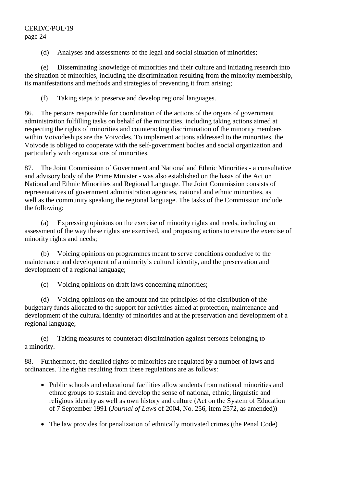(d) Analyses and assessments of the legal and social situation of minorities;

 (e) Disseminating knowledge of minorities and their culture and initiating research into the situation of minorities, including the discrimination resulting from the minority membership, its manifestations and methods and strategies of preventing it from arising;

(f) Taking steps to preserve and develop regional languages.

86. The persons responsible for coordination of the actions of the organs of government administration fulfilling tasks on behalf of the minorities, including taking actions aimed at respecting the rights of minorities and counteracting discrimination of the minority members within Voivodeships are the Voivodes. To implement actions addressed to the minorities, the Voivode is obliged to cooperate with the self-government bodies and social organization and particularly with organizations of minorities.

87. The Joint Commission of Government and National and Ethnic Minorities - a consultative and advisory body of the Prime Minister - was also established on the basis of the Act on National and Ethnic Minorities and Regional Language. The Joint Commission consists of representatives of government administration agencies, national and ethnic minorities, as well as the community speaking the regional language. The tasks of the Commission include the following:

 (a) Expressing opinions on the exercise of minority rights and needs, including an assessment of the way these rights are exercised, and proposing actions to ensure the exercise of minority rights and needs;

 (b) Voicing opinions on programmes meant to serve conditions conducive to the maintenance and development of a minority's cultural identity, and the preservation and development of a regional language;

(c) Voicing opinions on draft laws concerning minorities;

 (d) Voicing opinions on the amount and the principles of the distribution of the budgetary funds allocated to the support for activities aimed at protection, maintenance and development of the cultural identity of minorities and at the preservation and development of a regional language;

 (e) Taking measures to counteract discrimination against persons belonging to a minority.

88. Furthermore, the detailed rights of minorities are regulated by a number of laws and ordinances. The rights resulting from these regulations are as follows:

- Public schools and educational facilities allow students from national minorities and ethnic groups to sustain and develop the sense of national, ethnic, linguistic and religious identity as well as own history and culture (Act on the System of Education of 7 September 1991 (*Journal of Laws* of 2004, No. 256, item 2572, as amended))
- The law provides for penalization of ethnically motivated crimes (the Penal Code)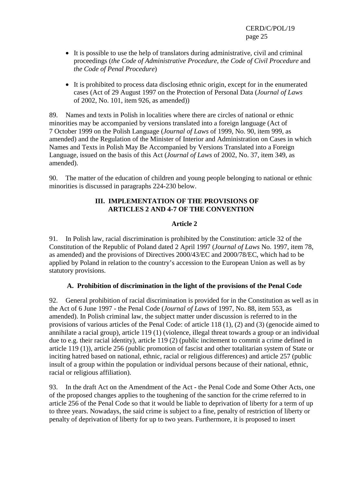- It is possible to use the help of translators during administrative, civil and criminal proceedings (*the Code of Administrative Procedure*, *the Code of Civil Procedure* and *the Code of Penal Procedure*)
- It is prohibited to process data disclosing ethnic origin, except for in the enumerated cases (Act of 29 August 1997 on the Protection of Personal Data (*Journal of Laws* of 2002, No. 101, item 926, as amended))

89. Names and texts in Polish in localities where there are circles of national or ethnic minorities may be accompanied by versions translated into a foreign language (Act of 7 October 1999 on the Polish Language (*Journal of Laws* of 1999, No. 90, item 999, as amended) and the Regulation of the Minister of Interior and Administration on Cases in which Names and Texts in Polish May Be Accompanied by Versions Translated into a Foreign Language, issued on the basis of this Act (*Journal of Laws* of 2002, No. 37, item 349, as amended).

90. The matter of the education of children and young people belonging to national or ethnic minorities is discussed in paragraphs 224-230 below.

## **III. IMPLEMENTATION OF THE PROVISIONS OF ARTICLES 2 AND 4-7 OF THE CONVENTION**

## **Article 2**

91. In Polish law, racial discrimination is prohibited by the Constitution: article 32 of the Constitution of the Republic of Poland dated 2 April 1997 (*Journal of Laws* No. 1997, item 78, as amended) and the provisions of Directives 2000/43/EC and 2000/78/EC, which had to be applied by Poland in relation to the country's accession to the European Union as well as by statutory provisions.

## **A. Prohibition of discrimination in the light of the provisions of the Penal Code**

92. General prohibition of racial discrimination is provided for in the Constitution as well as in the Act of 6 June 1997 - the Penal Code (*Journal of Laws* of 1997, No. 88, item 553, as amended). In Polish criminal law, the subject matter under discussion is referred to in the provisions of various articles of the Penal Code: of article 118 (1), (2) and (3) (genocide aimed to annihilate a racial group), article 119 (1) (violence, illegal threat towards a group or an individual due to e.g. their racial identity), article 119 (2) (public incitement to commit a crime defined in article 119 (1)), article 256 (public promotion of fascist and other totalitarian system of State or inciting hatred based on national, ethnic, racial or religious differences) and article 257 (public insult of a group within the population or individual persons because of their national, ethnic, racial or religious affiliation).

93. In the draft Act on the Amendment of the Act - the Penal Code and Some Other Acts, one of the proposed changes applies to the toughening of the sanction for the crime referred to in article 256 of the Penal Code so that it would be liable to deprivation of liberty for a term of up to three years. Nowadays, the said crime is subject to a fine, penalty of restriction of liberty or penalty of deprivation of liberty for up to two years. Furthermore, it is proposed to insert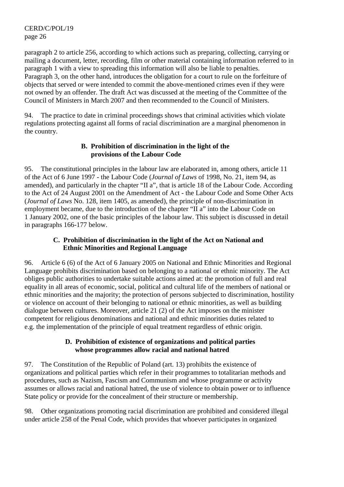paragraph 2 to article 256, according to which actions such as preparing, collecting, carrying or mailing a document, letter, recording, film or other material containing information referred to in paragraph 1 with a view to spreading this information will also be liable to penalties. Paragraph 3, on the other hand, introduces the obligation for a court to rule on the forfeiture of objects that served or were intended to commit the above-mentioned crimes even if they were not owned by an offender. The draft Act was discussed at the meeting of the Committee of the Council of Ministers in March 2007 and then recommended to the Council of Ministers.

94. The practice to date in criminal proceedings shows that criminal activities which violate regulations protecting against all forms of racial discrimination are a marginal phenomenon in the country.

## **B. Prohibition of discrimination in the light of the provisions of the Labour Code**

95. The constitutional principles in the labour law are elaborated in, among others, article 11 of the Act of 6 June 1997 - the Labour Code (*Journal of Laws* of 1998, No. 21, item 94, as amended), and particularly in the chapter "II a", that is article 18 of the Labour Code. According to the Act of 24 August 2001 on the Amendment of Act - the Labour Code and Some Other Acts (*Journal of Laws* No. 128, item 1405, as amended), the principle of non-discrimination in employment became, due to the introduction of the chapter "II a" into the Labour Code on 1 January 2002, one of the basic principles of the labour law. This subject is discussed in detail in paragraphs 166-177 below.

## **C. Prohibition of discrimination in the light of the Act on National and Ethnic Minorities and Regional Language**

96. Article 6 (6) of the Act of 6 January 2005 on National and Ethnic Minorities and Regional Language prohibits discrimination based on belonging to a national or ethnic minority. The Act obliges public authorities to undertake suitable actions aimed at: the promotion of full and real equality in all areas of economic, social, political and cultural life of the members of national or ethnic minorities and the majority; the protection of persons subjected to discrimination, hostility or violence on account of their belonging to national or ethnic minorities, as well as building dialogue between cultures. Moreover, article 21 (2) of the Act imposes on the minister competent for religious denominations and national and ethnic minorities duties related to e.g. the implementation of the principle of equal treatment regardless of ethnic origin.

## **D. Prohibition of existence of organizations and political parties whose programmes allow racial and national hatred**

97. The Constitution of the Republic of Poland (art. 13) prohibits the existence of organizations and political parties which refer in their programmes to totalitarian methods and procedures, such as Nazism, Fascism and Communism and whose programme or activity assumes or allows racial and national hatred, the use of violence to obtain power or to influence State policy or provide for the concealment of their structure or membership.

98. Other organizations promoting racial discrimination are prohibited and considered illegal under article 258 of the Penal Code, which provides that whoever participates in organized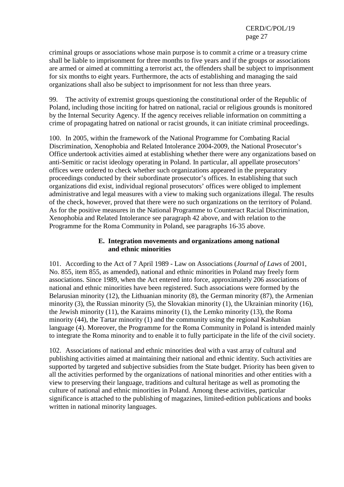criminal groups or associations whose main purpose is to commit a crime or a treasury crime shall be liable to imprisonment for three months to five years and if the groups or associations are armed or aimed at committing a terrorist act, the offenders shall be subject to imprisonment for six months to eight years. Furthermore, the acts of establishing and managing the said organizations shall also be subject to imprisonment for not less than three years.

99. The activity of extremist groups questioning the constitutional order of the Republic of Poland, including those inciting for hatred on national, racial or religious grounds is monitored by the Internal Security Agency. If the agency receives reliable information on committing a crime of propagating hatred on national or racist grounds, it can initiate criminal proceedings.

100. In 2005, within the framework of the National Programme for Combating Racial Discrimination, Xenophobia and Related Intolerance 2004-2009, the National Prosecutor's Office undertook activities aimed at establishing whether there were any organizations based on anti-Semitic or racist ideology operating in Poland. In particular, all appellate prosecutors' offices were ordered to check whether such organizations appeared in the preparatory proceedings conducted by their subordinate prosecutor's offices. In establishing that such organizations did exist, individual regional prosecutors' offices were obliged to implement administrative and legal measures with a view to making such organizations illegal. The results of the check, however, proved that there were no such organizations on the territory of Poland. As for the positive measures in the National Programme to Counteract Racial Discrimination, Xenophobia and Related Intolerance see paragraph 42 above, and with relation to the Programme for the Roma Community in Poland, see paragraphs 16-35 above.

## **E. Integration movements and organizations among national and ethnic minorities**

101. According to the Act of 7 April 1989 - Law on Associations (*Journal of Laws* of 2001, No. 855, item 855, as amended), national and ethnic minorities in Poland may freely form associations. Since 1989, when the Act entered into force, approximately 206 associations of national and ethnic minorities have been registered. Such associations were formed by the Belarusian minority (12), the Lithuanian minority (8), the German minority (87), the Armenian minority (3), the Russian minority (5), the Slovakian minority (1), the Ukrainian minority (16), the Jewish minority (11), the Karaims minority (1), the Lemko minority (13), the Roma minority (44), the Tartar minority (1) and the community using the regional Kashubian language (4). Moreover, the Programme for the Roma Community in Poland is intended mainly to integrate the Roma minority and to enable it to fully participate in the life of the civil society.

102. Associations of national and ethnic minorities deal with a vast array of cultural and publishing activities aimed at maintaining their national and ethnic identity. Such activities are supported by targeted and subjective subsidies from the State budget. Priority has been given to all the activities performed by the organizations of national minorities and other entities with a view to preserving their language, traditions and cultural heritage as well as promoting the culture of national and ethnic minorities in Poland. Among these activities, particular significance is attached to the publishing of magazines, limited-edition publications and books written in national minority languages.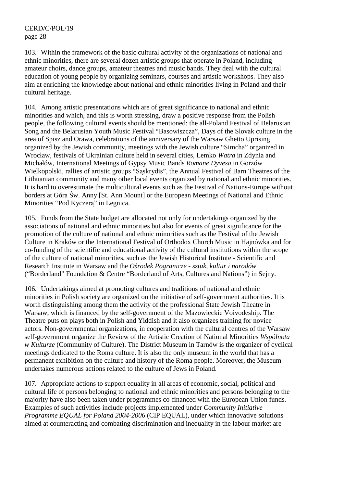103. Within the framework of the basic cultural activity of the organizations of national and ethnic minorities, there are several dozen artistic groups that operate in Poland, including amateur choirs, dance groups, amateur theatres and music bands. They deal with the cultural education of young people by organizing seminars, courses and artistic workshops. They also aim at enriching the knowledge about national and ethnic minorities living in Poland and their cultural heritage.

104. Among artistic presentations which are of great significance to national and ethnic minorities and which, and this is worth stressing, draw a positive response from the Polish people, the following cultural events should be mentioned: the all-Poland Festival of Belarusian Song and the Belarusian Youth Music Festival "Basowiszcza", Days of the Slovak culture in the area of Spisz and Orawa, celebrations of the anniversary of the Warsaw Ghetto Uprising organized by the Jewish community, meetings with the Jewish culture "Simcha" organized in Wrocław, festivals of Ukrainian culture held in several cities, Lemko *Watra* in Zdynia and Michałów, International Meetings of Gypsy Music Bands *Romane Dyvesa* in Gorzów Wielkopolski, rallies of artistic groups "Sąskrydis", the Annual Festival of Barn Theatres of the Lithuanian community and many other local events organized by national and ethnic minorities. It is hard to overestimate the multicultural events such as the Festival of Nations-Europe without borders at Góra Św. Anny [St. Ann Mount] or the European Meetings of National and Ethnic Minorities "Pod Kyczerą" in Legnica.

105. Funds from the State budget are allocated not only for undertakings organized by the associations of national and ethnic minorities but also for events of great significance for the promotion of the culture of national and ethnic minorities such as the Festival of the Jewish Culture in Kraków or the International Festival of Orthodox Church Music in Hajnówka and for co-funding of the scientific and educational activity of the cultural institutions within the scope of the culture of national minorities, such as the Jewish Historical Institute - Scientific and Research Institute in Warsaw and the *Ośrodek Pogranicze - sztuk, kultur i narodów* ("Borderland" Foundation & Centre "Borderland of Arts, Cultures and Nations") in Sejny.

106. Undertakings aimed at promoting cultures and traditions of national and ethnic minorities in Polish society are organized on the initiative of self-government authorities. It is worth distinguishing among them the activity of the professional State Jewish Theatre in Warsaw, which is financed by the self-government of the Mazowieckie Voivodeship. The Theatre puts on plays both in Polish and Yiddish and it also organizes training for novice actors. Non-governmental organizations, in cooperation with the cultural centres of the Warsaw self-government organize the Review of the Artistic Creation of National Minorities *Wspólnota w Kulturze* (Community of Culture). The District Museum in Tarnów is the organizer of cyclical meetings dedicated to the Roma culture. It is also the only museum in the world that has a permanent exhibition on the culture and history of the Roma people. Moreover, the Museum undertakes numerous actions related to the culture of Jews in Poland.

107. Appropriate actions to support equality in all areas of economic, social, political and cultural life of persons belonging to national and ethnic minorities and persons belonging to the majority have also been taken under programmes co-financed with the European Union funds. Examples of such activities include projects implemented under *Community Initiative Programme EQUAL for Poland 2004-2006* (CIP EQUAL), under which innovative solutions aimed at counteracting and combating discrimination and inequality in the labour market are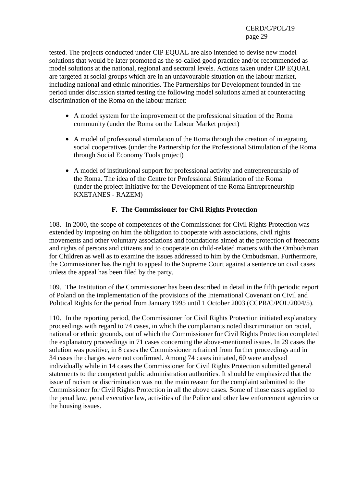tested. The projects conducted under CIP EQUAL are also intended to devise new model solutions that would be later promoted as the so-called good practice and/or recommended as model solutions at the national, regional and sectoral levels. Actions taken under CIP EQUAL are targeted at social groups which are in an unfavourable situation on the labour market, including national and ethnic minorities. The Partnerships for Development founded in the period under discussion started testing the following model solutions aimed at counteracting discrimination of the Roma on the labour market:

- A model system for the improvement of the professional situation of the Roma community (under the Roma on the Labour Market project)
- A model of professional stimulation of the Roma through the creation of integrating social cooperatives (under the Partnership for the Professional Stimulation of the Roma through Social Economy Tools project)
- A model of institutional support for professional activity and entrepreneurship of the Roma. The idea of the Centre for Professional Stimulation of the Roma (under the project Initiative for the Development of the Roma Entrepreneurship - KXETANES - RAZEM)

## **F. The Commissioner for Civil Rights Protection**

108. In 2000, the scope of competences of the Commissioner for Civil Rights Protection was extended by imposing on him the obligation to cooperate with associations, civil rights movements and other voluntary associations and foundations aimed at the protection of freedoms and rights of persons and citizens and to cooperate on child-related matters with the Ombudsman for Children as well as to examine the issues addressed to him by the Ombudsman. Furthermore, the Commissioner has the right to appeal to the Supreme Court against a sentence on civil cases unless the appeal has been filed by the party.

109. The Institution of the Commissioner has been described in detail in the fifth periodic report of Poland on the implementation of the provisions of the International Covenant on Civil and Political Rights for the period from January 1995 until 1 October 2003 (CCPR/C/POL/2004/5).

110. In the reporting period, the Commissioner for Civil Rights Protection initiated explanatory proceedings with regard to 74 cases, in which the complainants noted discrimination on racial, national or ethnic grounds, out of which the Commissioner for Civil Rights Protection completed the explanatory proceedings in 71 cases concerning the above-mentioned issues. In 29 cases the solution was positive, in 8 cases the Commissioner refrained from further proceedings and in 34 cases the charges were not confirmed. Among 74 cases initiated, 60 were analysed individually while in 14 cases the Commissioner for Civil Rights Protection submitted general statements to the competent public administration authorities. It should be emphasized that the issue of racism or discrimination was not the main reason for the complaint submitted to the Commissioner for Civil Rights Protection in all the above cases. Some of those cases applied to the penal law, penal executive law, activities of the Police and other law enforcement agencies or the housing issues.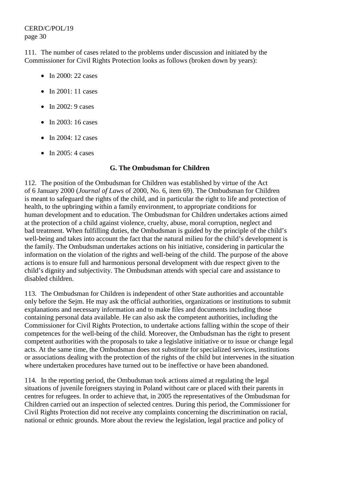111. The number of cases related to the problems under discussion and initiated by the Commissioner for Civil Rights Protection looks as follows (broken down by years):

- In 2000: 22 cases
- In 2001: 11 cases
- In  $2002:9$  cases
- In 2003: 16 cases
- In 2004: 12 cases
- In 2005: 4 cases

### **G. The Ombudsman for Children**

112. The position of the Ombudsman for Children was established by virtue of the Act of 6 January 2000 (*Journal of Laws* of 2000, No. 6, item 69). The Ombudsman for Children is meant to safeguard the rights of the child, and in particular the right to life and protection of health, to the upbringing within a family environment, to appropriate conditions for human development and to education. The Ombudsman for Children undertakes actions aimed at the protection of a child against violence, cruelty, abuse, moral corruption, neglect and bad treatment. When fulfilling duties, the Ombudsman is guided by the principle of the child's well-being and takes into account the fact that the natural milieu for the child's development is the family. The Ombudsman undertakes actions on his initiative, considering in particular the information on the violation of the rights and well-being of the child. The purpose of the above actions is to ensure full and harmonious personal development with due respect given to the child's dignity and subjectivity. The Ombudsman attends with special care and assistance to disabled children.

113. The Ombudsman for Children is independent of other State authorities and accountable only before the Sejm. He may ask the official authorities, organizations or institutions to submit explanations and necessary information and to make files and documents including those containing personal data available. He can also ask the competent authorities, including the Commissioner for Civil Rights Protection, to undertake actions falling within the scope of their competences for the well-being of the child. Moreover, the Ombudsman has the right to present competent authorities with the proposals to take a legislative initiative or to issue or change legal acts. At the same time, the Ombudsman does not substitute for specialized services, institutions or associations dealing with the protection of the rights of the child but intervenes in the situation where undertaken procedures have turned out to be ineffective or have been abandoned.

114. In the reporting period, the Ombudsman took actions aimed at regulating the legal situations of juvenile foreigners staying in Poland without care or placed with their parents in centres for refugees. In order to achieve that, in 2005 the representatives of the Ombudsman for Children carried out an inspection of selected centres. During this period, the Commissioner for Civil Rights Protection did not receive any complaints concerning the discrimination on racial, national or ethnic grounds. More about the review the legislation, legal practice and policy of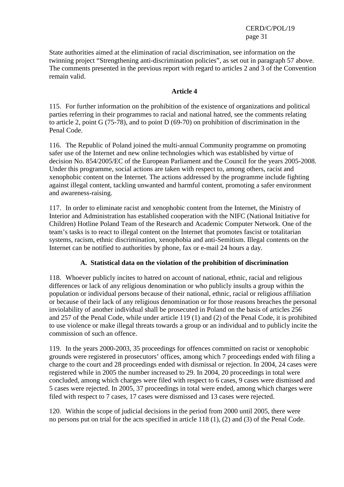State authorities aimed at the elimination of racial discrimination, see information on the twinning project "Strengthening anti-discrimination policies", as set out in paragraph 57 above. The comments presented in the previous report with regard to articles 2 and 3 of the Convention remain valid.

## **Article 4**

115. For further information on the prohibition of the existence of organizations and political parties referring in their programmes to racial and national hatred, see the comments relating to article 2, point G (75-78), and to point D (69-70) on prohibition of discrimination in the Penal Code.

116. The Republic of Poland joined the multi-annual Community programme on promoting safer use of the Internet and new online technologies which was established by virtue of decision No. 854/2005/EC of the European Parliament and the Council for the years 2005-2008. Under this programme, social actions are taken with respect to, among others, racist and xenophobic content on the Internet. The actions addressed by the programme include fighting against illegal content, tackling unwanted and harmful content, promoting a safer environment and awareness-raising.

117. In order to eliminate racist and xenophobic content from the Internet, the Ministry of Interior and Administration has established cooperation with the NIFC (National Initiative for Children) Hotline Poland Team of the Research and Academic Computer Network. One of the team's tasks is to react to illegal content on the Internet that promotes fascist or totalitarian systems, racism, ethnic discrimination, xenophobia and anti-Semitism. Illegal contents on the Internet can be notified to authorities by phone, fax or e-mail 24 hours a day.

## **A. Statistical data on the violation of the prohibition of discrimination**

118. Whoever publicly incites to hatred on account of national, ethnic, racial and religious differences or lack of any religious denomination or who publicly insults a group within the population or individual persons because of their national, ethnic, racial or religious affiliation or because of their lack of any religious denomination or for those reasons breaches the personal inviolability of another individual shall be prosecuted in Poland on the basis of articles 256 and 257 of the Penal Code, while under article 119 (1) and (2) of the Penal Code, it is prohibited to use violence or make illegal threats towards a group or an individual and to publicly incite the commission of such an offence.

119. In the years 2000-2003, 35 proceedings for offences committed on racist or xenophobic grounds were registered in prosecutors' offices, among which 7 proceedings ended with filing a charge to the court and 28 proceedings ended with dismissal or rejection. In 2004, 24 cases were registered while in 2005 the number increased to 29. In 2004, 20 proceedings in total were concluded, among which charges were filed with respect to 6 cases, 9 cases were dismissed and 5 cases were rejected. In 2005, 37 proceedings in total were ended, among which charges were filed with respect to 7 cases, 17 cases were dismissed and 13 cases were rejected.

120. Within the scope of judicial decisions in the period from 2000 until 2005, there were no persons put on trial for the acts specified in article 118 (1), (2) and (3) of the Penal Code.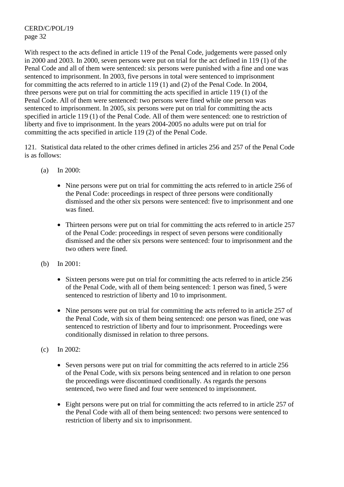With respect to the acts defined in article 119 of the Penal Code, judgements were passed only in 2000 and 2003. In 2000, seven persons were put on trial for the act defined in 119 (1) of the Penal Code and all of them were sentenced: six persons were punished with a fine and one was sentenced to imprisonment. In 2003, five persons in total were sentenced to imprisonment for committing the acts referred to in article 119 (1) and (2) of the Penal Code. In 2004, three persons were put on trial for committing the acts specified in article 119 (1) of the Penal Code. All of them were sentenced: two persons were fined while one person was sentenced to imprisonment. In 2005, six persons were put on trial for committing the acts specified in article 119 (1) of the Penal Code. All of them were sentenced: one to restriction of liberty and five to imprisonment. In the years 2004-2005 no adults were put on trial for committing the acts specified in article 119 (2) of the Penal Code.

121. Statistical data related to the other crimes defined in articles 256 and 257 of the Penal Code is as follows:

- (a) In 2000:
	- Nine persons were put on trial for committing the acts referred to in article 256 of the Penal Code: proceedings in respect of three persons were conditionally dismissed and the other six persons were sentenced: five to imprisonment and one was fined.
	- Thirteen persons were put on trial for committing the acts referred to in article 257 of the Penal Code: proceedings in respect of seven persons were conditionally dismissed and the other six persons were sentenced: four to imprisonment and the two others were fined.
- (b) In 2001:
	- Sixteen persons were put on trial for committing the acts referred to in article 256 of the Penal Code, with all of them being sentenced: 1 person was fined, 5 were sentenced to restriction of liberty and 10 to imprisonment.
	- Nine persons were put on trial for committing the acts referred to in article 257 of the Penal Code, with six of them being sentenced: one person was fined, one was sentenced to restriction of liberty and four to imprisonment. Proceedings were conditionally dismissed in relation to three persons.
- (c) In 2002:
	- Seven persons were put on trial for committing the acts referred to in article 256 of the Penal Code, with six persons being sentenced and in relation to one person the proceedings were discontinued conditionally. As regards the persons sentenced, two were fined and four were sentenced to imprisonment.
	- Eight persons were put on trial for committing the acts referred to in article 257 of the Penal Code with all of them being sentenced: two persons were sentenced to restriction of liberty and six to imprisonment.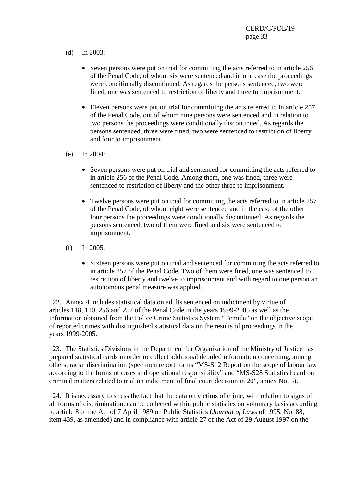- (d) In 2003:
	- Seven persons were put on trial for committing the acts referred to in article 256 of the Penal Code, of whom six were sentenced and in one case the proceedings were conditionally discontinued. As regards the persons sentenced, two were fined, one was sentenced to restriction of liberty and three to imprisonment.
	- Eleven persons were put on trial for committing the acts referred to in article 257 of the Penal Code, out of whom nine persons were sentenced and in relation to two persons the proceedings were conditionally discontinued. As regards the persons sentenced, three were fined, two were sentenced to restriction of liberty and four to imprisonment.
- (e) In 2004:
	- Seven persons were put on trial and sentenced for committing the acts referred to in article 256 of the Penal Code. Among them, one was fined, three were sentenced to restriction of liberty and the other three to imprisonment.
	- Twelve persons were put on trial for committing the acts referred to in article 257 of the Penal Code, of whom eight were sentenced and in the case of the other four persons the proceedings were conditionally discontinued. As regards the persons sentenced, two of them were fined and six were sentenced to imprisonment.
- (f) In 2005:
	- Sixteen persons were put on trial and sentenced for committing the acts referred to in article 257 of the Penal Code. Two of them were fined, one was sentenced to restriction of liberty and twelve to imprisonment and with regard to one person an autonomous penal measure was applied.

122. Annex 4 includes statistical data on adults sentenced on indictment by virtue of articles 118, 110, 256 and 257 of the Penal Code in the years 1999-2005 as well as the information obtained from the Police Crime Statistics System "Temida" on the objective scope of reported crimes with distinguished statistical data on the results of proceedings in the years 1999-2005.

123. The Statistics Divisions in the Department for Organization of the Ministry of Justice has prepared statistical cards in order to collect additional detailed information concerning, among others, racial discrimination (specimen report forms "MS-S12 Report on the scope of labour law according to the forms of cases and operational responsibility" and "MS-S28 Statistical card on criminal matters related to trial on indictment of final court decision in 20", annex No. 5).

124. It is necessary to stress the fact that the data on victims of crime, with relation to signs of all forms of discrimination, can be collected within public statistics on voluntary basis according to article 8 of the Act of 7 April 1989 on Public Statistics (*Journal of Laws* of 1995, No. 88, item 439, as amended) and in compliance with article 27 of the Act of 29 August 1997 on the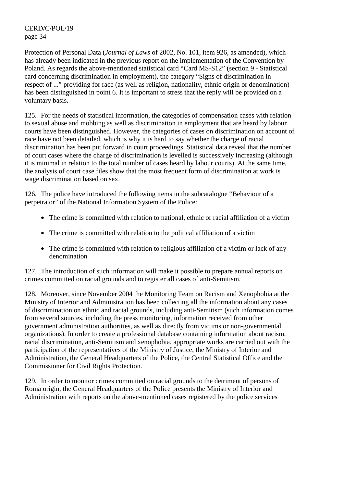Protection of Personal Data (*Journal of Laws* of 2002, No. 101, item 926, as amended), which has already been indicated in the previous report on the implementation of the Convention by Poland. As regards the above-mentioned statistical card "Card MS-S12" (section 9 - Statistical card concerning discrimination in employment), the category "Signs of discrimination in respect of ..." providing for race (as well as religion, nationality, ethnic origin or denomination) has been distinguished in point 6. It is important to stress that the reply will be provided on a voluntary basis.

125. For the needs of statistical information, the categories of compensation cases with relation to sexual abuse and mobbing as well as discrimination in employment that are heard by labour courts have been distinguished. However, the categories of cases on discrimination on account of race have not been detailed, which is why it is hard to say whether the charge of racial discrimination has been put forward in court proceedings. Statistical data reveal that the number of court cases where the charge of discrimination is levelled is successively increasing (although it is minimal in relation to the total number of cases heard by labour courts). At the same time, the analysis of court case files show that the most frequent form of discrimination at work is wage discrimination based on sex.

126. The police have introduced the following items in the subcatalogue "Behaviour of a perpetrator" of the National Information System of the Police:

- The crime is committed with relation to national, ethnic or racial affiliation of a victim
- The crime is committed with relation to the political affiliation of a victim
- The crime is committed with relation to religious affiliation of a victim or lack of any denomination

127. The introduction of such information will make it possible to prepare annual reports on crimes committed on racial grounds and to register all cases of anti-Semitism.

128. Moreover, since November 2004 the Monitoring Team on Racism and Xenophobia at the Ministry of Interior and Administration has been collecting all the information about any cases of discrimination on ethnic and racial grounds, including anti-Semitism (such information comes from several sources, including the press monitoring, information received from other government administration authorities, as well as directly from victims or non-governmental organizations). In order to create a professional database containing information about racism, racial discrimination, anti-Semitism and xenophobia, appropriate works are carried out with the participation of the representatives of the Ministry of Justice, the Ministry of Interior and Administration, the General Headquarters of the Police, the Central Statistical Office and the Commissioner for Civil Rights Protection.

129. In order to monitor crimes committed on racial grounds to the detriment of persons of Roma origin, the General Headquarters of the Police presents the Ministry of Interior and Administration with reports on the above-mentioned cases registered by the police services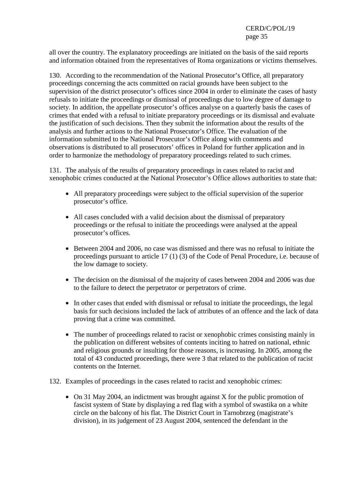all over the country. The explanatory proceedings are initiated on the basis of the said reports and information obtained from the representatives of Roma organizations or victims themselves.

130. According to the recommendation of the National Prosecutor's Office, all preparatory proceedings concerning the acts committed on racial grounds have been subject to the supervision of the district prosecutor's offices since 2004 in order to eliminate the cases of hasty refusals to initiate the proceedings or dismissal of proceedings due to low degree of damage to society. In addition, the appellate prosecutor's offices analyse on a quarterly basis the cases of crimes that ended with a refusal to initiate preparatory proceedings or its dismissal and evaluate the justification of such decisions. Then they submit the information about the results of the analysis and further actions to the National Prosecutor's Office. The evaluation of the information submitted to the National Prosecutor's Office along with comments and observations is distributed to all prosecutors' offices in Poland for further application and in order to harmonize the methodology of preparatory proceedings related to such crimes.

131. The analysis of the results of preparatory proceedings in cases related to racist and xenophobic crimes conducted at the National Prosecutor's Office allows authorities to state that:

- All preparatory proceedings were subject to the official supervision of the superior prosecutor's office.
- All cases concluded with a valid decision about the dismissal of preparatory proceedings or the refusal to initiate the proceedings were analysed at the appeal prosecutor's offices.
- Between 2004 and 2006, no case was dismissed and there was no refusal to initiate the proceedings pursuant to article 17 (1) (3) of the Code of Penal Procedure, i.e. because of the low damage to society.
- The decision on the dismissal of the majority of cases between 2004 and 2006 was due to the failure to detect the perpetrator or perpetrators of crime.
- In other cases that ended with dismissal or refusal to initiate the proceedings, the legal basis for such decisions included the lack of attributes of an offence and the lack of data proving that a crime was committed.
- The number of proceedings related to racist or xenophobic crimes consisting mainly in the publication on different websites of contents inciting to hatred on national, ethnic and religious grounds or insulting for those reasons, is increasing. In 2005, among the total of 43 conducted proceedings, there were 3 that related to the publication of racist contents on the Internet.
- 132. Examples of proceedings in the cases related to racist and xenophobic crimes:
	- On 31 May 2004, an indictment was brought against X for the public promotion of fascist system of State by displaying a red flag with a symbol of swastika on a white circle on the balcony of his flat. The District Court in Tarnobrzeg (magistrate's division), in its judgement of 23 August 2004, sentenced the defendant in the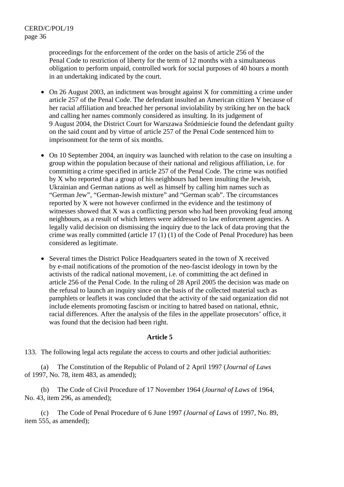proceedings for the enforcement of the order on the basis of article 256 of the Penal Code to restriction of liberty for the term of 12 months with a simultaneous obligation to perform unpaid, controlled work for social purposes of 40 hours a month in an undertaking indicated by the court.

- On 26 August 2003, an indictment was brought against X for committing a crime under article 257 of the Penal Code. The defendant insulted an American citizen Y because of her racial affiliation and breached her personal inviolability by striking her on the back and calling her names commonly considered as insulting. In its judgement of 9 August 2004, the District Court for Warszawa Śródmieście found the defendant guilty on the said count and by virtue of article 257 of the Penal Code sentenced him to imprisonment for the term of six months.
- On 10 September 2004, an inquiry was launched with relation to the case on insulting a group within the population because of their national and religious affiliation, i.e. for committing a crime specified in article 257 of the Penal Code. The crime was notified by X who reported that a group of his neighbours had been insulting the Jewish, Ukrainian and German nations as well as himself by calling him names such as "German Jew", "German-Jewish mixture" and "German scab". The circumstances reported by X were not however confirmed in the evidence and the testimony of witnesses showed that X was a conflicting person who had been provoking feud among neighbours, as a result of which letters were addressed to law enforcement agencies. A legally valid decision on dismissing the inquiry due to the lack of data proving that the crime was really committed (article 17 (1) (1) of the Code of Penal Procedure) has been considered as legitimate.
- Several times the District Police Headquarters seated in the town of X received by e-mail notifications of the promotion of the neo-fascist ideology in town by the activists of the radical national movement, i.e. of committing the act defined in article 256 of the Penal Code. In the ruling of 28 April 2005 the decision was made on the refusal to launch an inquiry since on the basis of the collected material such as pamphlets or leaflets it was concluded that the activity of the said organization did not include elements promoting fascism or inciting to hatred based on national, ethnic, racial differences. After the analysis of the files in the appellate prosecutors' office, it was found that the decision had been right.

#### **Article 5**

133. The following legal acts regulate the access to courts and other judicial authorities:

 (a) The Constitution of the Republic of Poland of 2 April 1997 (*Journal of Laws* of 1997, No. 78, item 483, as amended);

 (b) The Code of Civil Procedure of 17 November 1964 (*Journal of Laws* of 1964, No. 43, item 296, as amended);

 (c) The Code of Penal Procedure of 6 June 1997 *(Journal of Laws* of 1997*,* No. 89, item 555, as amended);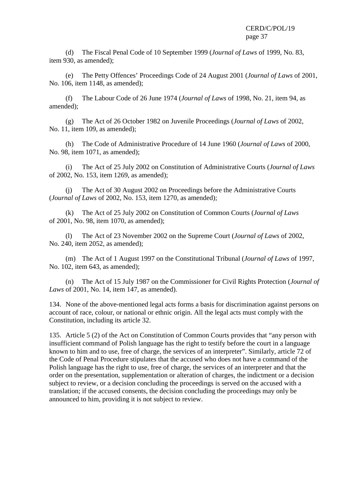(d) The Fiscal Penal Code of 10 September 1999 (*Journal of Laws* of 1999, No. 83, item 930, as amended);

 (e) The Petty Offences' Proceedings Code of 24 August 2001 (*Journal of Laws* of 2001, No. 106, item 1148, as amended);

 (f) The Labour Code of 26 June 1974 (*Journal of Laws* of 1998, No. 21, item 94, as amended);

 (g) The Act of 26 October 1982 on Juvenile Proceedings (*Journal of Laws* of 2002, No. 11, item 109, as amended);

 (h) The Code of Administrative Procedure of 14 June 1960 (*Journal of Laws* of 2000, No. 98, item 1071, as amended);

 (i) The Act of 25 July 2002 on Constitution of Administrative Courts (*Journal of Laws* of 2002, No. 153, item 1269, as amended);

 (j) The Act of 30 August 2002 on Proceedings before the Administrative Courts (*Journal of Laws* of 2002, No. 153, item 1270, as amended);

 (k) The Act of 25 July 2002 on Constitution of Common Courts (*Journal of Laws* of 2001, No. 98, item 1070, as amended);

 (l) The Act of 23 November 2002 on the Supreme Court (*Journal of Laws* of 2002, No. 240, item 2052, as amended);

 (m) The Act of 1 August 1997 on the Constitutional Tribunal (*Journal of Laws* of 1997, No. 102, item 643, as amended);

 (n) The Act of 15 July 1987 on the Commissioner for Civil Rights Protection (*Journal of Laws* of 2001, No. 14, item 147, as amended).

134. None of the above-mentioned legal acts forms a basis for discrimination against persons on account of race, colour, or national or ethnic origin. All the legal acts must comply with the Constitution, including its article 32.

135. Article 5 (2) of the Act on Constitution of Common Courts provides that "any person with insufficient command of Polish language has the right to testify before the court in a language known to him and to use, free of charge, the services of an interpreter". Similarly, article 72 of the Code of Penal Procedure stipulates that the accused who does not have a command of the Polish language has the right to use, free of charge, the services of an interpreter and that the order on the presentation, supplementation or alteration of charges, the indictment or a decision subject to review, or a decision concluding the proceedings is served on the accused with a translation; if the accused consents, the decision concluding the proceedings may only be announced to him, providing it is not subject to review.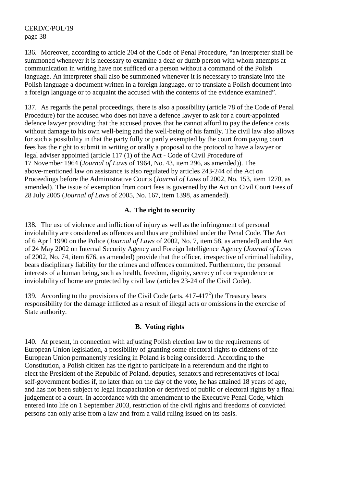136. Moreover, according to article 204 of the Code of Penal Procedure, "an interpreter shall be summoned whenever it is necessary to examine a deaf or dumb person with whom attempts at communication in writing have not sufficed or a person without a command of the Polish language. An interpreter shall also be summoned whenever it is necessary to translate into the Polish language a document written in a foreign language, or to translate a Polish document into a foreign language or to acquaint the accused with the contents of the evidence examined".

137. As regards the penal proceedings, there is also a possibility (article 78 of the Code of Penal Procedure) for the accused who does not have a defence lawyer to ask for a court-appointed defence lawyer providing that the accused proves that he cannot afford to pay the defence costs without damage to his own well-being and the well-being of his family. The civil law also allows for such a possibility in that the party fully or partly exempted by the court from paying court fees has the right to submit in writing or orally a proposal to the protocol to have a lawyer or legal adviser appointed (article 117 (1) of the Act - Code of Civil Procedure of 17 November 1964 (*Journal of Laws* of 1964, No. 43, item 296, as amended)). The above-mentioned law on assistance is also regulated by articles 243-244 of the Act on Proceedings before the Administrative Courts (*Journal of Laws* of 2002, No. 153, item 1270, as amended). The issue of exemption from court fees is governed by the Act on Civil Court Fees of 28 July 2005 (*Journal of Laws* of 2005, No. 167, item 1398, as amended).

### **A. The right to security**

138. The use of violence and infliction of injury as well as the infringement of personal inviolability are considered as offences and thus are prohibited under the Penal Code. The Act of 6 April 1990 on the Police (*Journal of Laws* of 2002, No. 7, item 58, as amended) and the Act of 24 May 2002 on Internal Security Agency and Foreign Intelligence Agency (*Journal of Laws* of 2002, No. 74, item 676, as amended) provide that the officer, irrespective of criminal liability, bears disciplinary liability for the crimes and offences committed. Furthermore, the personal interests of a human being, such as health, freedom, dignity, secrecy of correspondence or inviolability of home are protected by civil law (articles 23-24 of the Civil Code).

139. According to the provisions of the Civil Code (arts.  $417-417^2$ ) the Treasury bears responsibility for the damage inflicted as a result of illegal acts or omissions in the exercise of State authority.

## **B. Voting rights**

140. At present, in connection with adjusting Polish election law to the requirements of European Union legislation, a possibility of granting some electoral rights to citizens of the European Union permanently residing in Poland is being considered. According to the Constitution, a Polish citizen has the right to participate in a referendum and the right to elect the President of the Republic of Poland, deputies, senators and representatives of local self-government bodies if, no later than on the day of the vote, he has attained 18 years of age, and has not been subject to legal incapacitation or deprived of public or electoral rights by a final judgement of a court. In accordance with the amendment to the Executive Penal Code, which entered into life on 1 September 2003, restriction of the civil rights and freedoms of convicted persons can only arise from a law and from a valid ruling issued on its basis.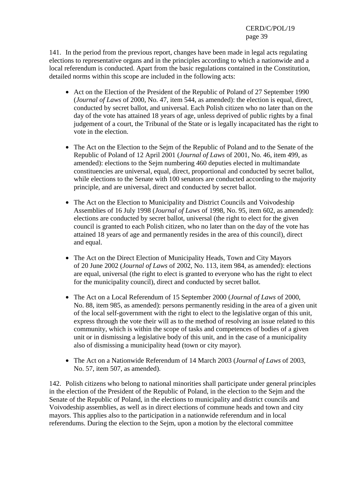141. In the period from the previous report, changes have been made in legal acts regulating elections to representative organs and in the principles according to which a nationwide and a local referendum is conducted. Apart from the basic regulations contained in the Constitution, detailed norms within this scope are included in the following acts:

- Act on the Election of the President of the Republic of Poland of 27 September 1990 (*Journal of Laws* of 2000, No. 47, item 544, as amended): the election is equal, direct, conducted by secret ballot, and universal. Each Polish citizen who no later than on the day of the vote has attained 18 years of age, unless deprived of public rights by a final judgement of a court, the Tribunal of the State or is legally incapacitated has the right to vote in the election.
- The Act on the Election to the Sejm of the Republic of Poland and to the Senate of the Republic of Poland of 12 April 2001 (*Journal of Laws* of 2001, No. 46, item 499, as amended): elections to the Sejm numbering 460 deputies elected in multimandate constituencies are universal, equal, direct, proportional and conducted by secret ballot, while elections to the Senate with 100 senators are conducted according to the majority principle, and are universal, direct and conducted by secret ballot.
- The Act on the Election to Municipality and District Councils and Voivodeship Assemblies of 16 July 1998 (*Journal of Laws* of 1998, No. 95, item 602, as amended): elections are conducted by secret ballot, universal (the right to elect for the given council is granted to each Polish citizen, who no later than on the day of the vote has attained 18 years of age and permanently resides in the area of this council), direct and equal.
- The Act on the Direct Election of Municipality Heads, Town and City Mayors of 20 June 2002 (*Journal of Laws* of 2002, No. 113, item 984, as amended): elections are equal, universal (the right to elect is granted to everyone who has the right to elect for the municipality council), direct and conducted by secret ballot.
- The Act on a Local Referendum of 15 September 2000 (*Journal of Laws* of 2000, No. 88, item 985, as amended): persons permanently residing in the area of a given unit of the local self-government with the right to elect to the legislative organ of this unit, express through the vote their will as to the method of resolving an issue related to this community, which is within the scope of tasks and competences of bodies of a given unit or in dismissing a legislative body of this unit, and in the case of a municipality also of dismissing a municipality head (town or city mayor).
- The Act on a Nationwide Referendum of 14 March 2003 (*Journal of Laws* of 2003, No. 57, item 507, as amended).

142. Polish citizens who belong to national minorities shall participate under general principles in the election of the President of the Republic of Poland, in the election to the Sejm and the Senate of the Republic of Poland, in the elections to municipality and district councils and Voivodeship assemblies, as well as in direct elections of commune heads and town and city mayors. This applies also to the participation in a nationwide referendum and in local referendums. During the election to the Sejm, upon a motion by the electoral committee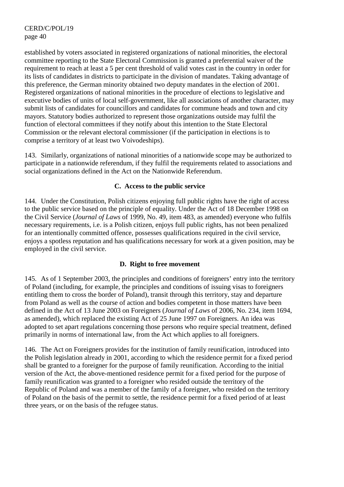established by voters associated in registered organizations of national minorities, the electoral committee reporting to the State Electoral Commission is granted a preferential waiver of the requirement to reach at least a 5 per cent threshold of valid votes cast in the country in order for its lists of candidates in districts to participate in the division of mandates. Taking advantage of this preference, the German minority obtained two deputy mandates in the election of 2001. Registered organizations of national minorities in the procedure of elections to legislative and executive bodies of units of local self-government, like all associations of another character, may submit lists of candidates for councillors and candidates for commune heads and town and city mayors. Statutory bodies authorized to represent those organizations outside may fulfil the function of electoral committees if they notify about this intention to the State Electoral Commission or the relevant electoral commissioner (if the participation in elections is to comprise a territory of at least two Voivodeships).

143. Similarly, organizations of national minorities of a nationwide scope may be authorized to participate in a nationwide referendum, if they fulfil the requirements related to associations and social organizations defined in the Act on the Nationwide Referendum.

### **C. Access to the public service**

144. Under the Constitution, Polish citizens enjoying full public rights have the right of access to the public service based on the principle of equality. Under the Act of 18 December 1998 on the Civil Service (*Journal of Laws* of 1999, No. 49, item 483, as amended) everyone who fulfils necessary requirements, i.e. is a Polish citizen, enjoys full public rights, has not been penalized for an intentionally committed offence, possesses qualifications required in the civil service, enjoys a spotless reputation and has qualifications necessary for work at a given position, may be employed in the civil service.

## **D. Right to free movement**

145. As of 1 September 2003, the principles and conditions of foreigners' entry into the territory of Poland (including, for example, the principles and conditions of issuing visas to foreigners entitling them to cross the border of Poland), transit through this territory, stay and departure from Poland as well as the course of action and bodies competent in those matters have been defined in the Act of 13 June 2003 on Foreigners (*Journal of Laws* of 2006, No. 234, item 1694, as amended), which replaced the existing Act of 25 June 1997 on Foreigners. An idea was adopted to set apart regulations concerning those persons who require special treatment, defined primarily in norms of international law, from the Act which applies to all foreigners.

146. The Act on Foreigners provides for the institution of family reunification, introduced into the Polish legislation already in 2001, according to which the residence permit for a fixed period shall be granted to a foreigner for the purpose of family reunification. According to the initial version of the Act, the above-mentioned residence permit for a fixed period for the purpose of family reunification was granted to a foreigner who resided outside the territory of the Republic of Poland and was a member of the family of a foreigner, who resided on the territory of Poland on the basis of the permit to settle, the residence permit for a fixed period of at least three years, or on the basis of the refugee status.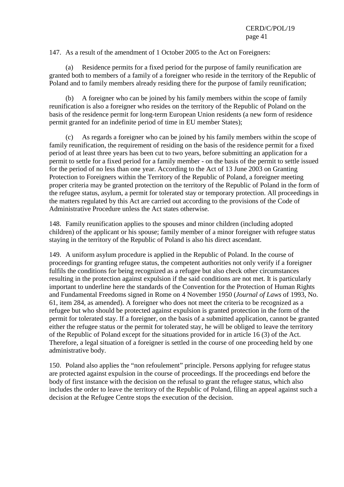147. As a result of the amendment of 1 October 2005 to the Act on Foreigners:

 (a) Residence permits for a fixed period for the purpose of family reunification are granted both to members of a family of a foreigner who reside in the territory of the Republic of Poland and to family members already residing there for the purpose of family reunification;

 (b) A foreigner who can be joined by his family members within the scope of family reunification is also a foreigner who resides on the territory of the Republic of Poland on the basis of the residence permit for long-term European Union residents (a new form of residence permit granted for an indefinite period of time in EU member States);

 (c) As regards a foreigner who can be joined by his family members within the scope of family reunification, the requirement of residing on the basis of the residence permit for a fixed period of at least three years has been cut to two years, before submitting an application for a permit to settle for a fixed period for a family member - on the basis of the permit to settle issued for the period of no less than one year. According to the Act of 13 June 2003 on Granting Protection to Foreigners within the Territory of the Republic of Poland, a foreigner meeting proper criteria may be granted protection on the territory of the Republic of Poland in the form of the refugee status, asylum, a permit for tolerated stay or temporary protection. All proceedings in the matters regulated by this Act are carried out according to the provisions of the Code of Administrative Procedure unless the Act states otherwise*.*

148. Family reunification applies to the spouses and minor children (including adopted children) of the applicant or his spouse; family member of a minor foreigner with refugee status staying in the territory of the Republic of Poland is also his direct ascendant.

149. A uniform asylum procedure is applied in the Republic of Poland. In the course of proceedings for granting refugee status, the competent authorities not only verify if a foreigner fulfils the conditions for being recognized as a refugee but also check other circumstances resulting in the protection against expulsion if the said conditions are not met. It is particularly important to underline here the standards of the Convention for the Protection of Human Rights and Fundamental Freedoms signed in Rome on 4 November 1950 (*Journal of Laws* of 1993, No. 61, item 284, as amended). A foreigner who does not meet the criteria to be recognized as a refugee but who should be protected against expulsion is granted protection in the form of the permit for tolerated stay. If a foreigner, on the basis of a submitted application, cannot be granted either the refugee status or the permit for tolerated stay, he will be obliged to leave the territory of the Republic of Poland except for the situations provided for in article 16 (3) of the Act. Therefore, a legal situation of a foreigner is settled in the course of one proceeding held by one administrative body.

150. Poland also applies the "non refoulement" principle. Persons applying for refugee status are protected against expulsion in the course of proceedings. If the proceedings end before the body of first instance with the decision on the refusal to grant the refugee status, which also includes the order to leave the territory of the Republic of Poland, filing an appeal against such a decision at the Refugee Centre stops the execution of the decision.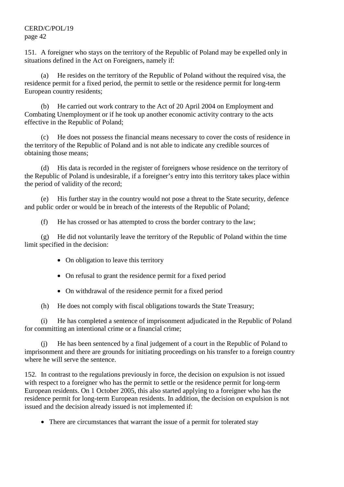151. A foreigner who stays on the territory of the Republic of Poland may be expelled only in situations defined in the Act on Foreigners, namely if:

 (a) He resides on the territory of the Republic of Poland without the required visa, the residence permit for a fixed period, the permit to settle or the residence permit for long-term European country residents;

 (b) He carried out work contrary to the Act of 20 April 2004 on Employment and Combating Unemployment or if he took up another economic activity contrary to the acts effective in the Republic of Poland;

 (c) He does not possess the financial means necessary to cover the costs of residence in the territory of the Republic of Poland and is not able to indicate any credible sources of obtaining those means;

 (d) His data is recorded in the register of foreigners whose residence on the territory of the Republic of Poland is undesirable, if a foreigner's entry into this territory takes place within the period of validity of the record;

 (e) His further stay in the country would not pose a threat to the State security, defence and public order or would be in breach of the interests of the Republic of Poland;

(f) He has crossed or has attempted to cross the border contrary to the law;

 (g) He did not voluntarily leave the territory of the Republic of Poland within the time limit specified in the decision:

- On obligation to leave this territory
- On refusal to grant the residence permit for a fixed period
- On withdrawal of the residence permit for a fixed period

(h) He does not comply with fiscal obligations towards the State Treasury;

 (i) He has completed a sentence of imprisonment adjudicated in the Republic of Poland for committing an intentional crime or a financial crime;

 (j) He has been sentenced by a final judgement of a court in the Republic of Poland to imprisonment and there are grounds for initiating proceedings on his transfer to a foreign country where he will serve the sentence.

152. In contrast to the regulations previously in force, the decision on expulsion is not issued with respect to a foreigner who has the permit to settle or the residence permit for long-term European residents. On 1 October 2005, this also started applying to a foreigner who has the residence permit for long-term European residents. In addition, the decision on expulsion is not issued and the decision already issued is not implemented if:

• There are circumstances that warrant the issue of a permit for tolerated stay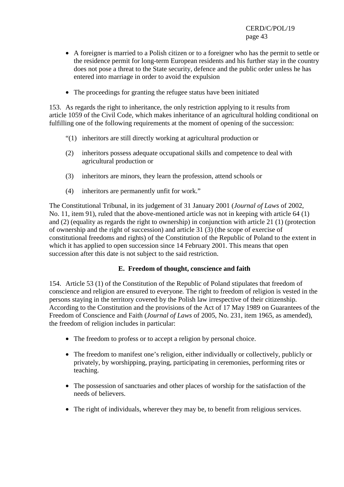- A foreigner is married to a Polish citizen or to a foreigner who has the permit to settle or the residence permit for long-term European residents and his further stay in the country does not pose a threat to the State security, defence and the public order unless he has entered into marriage in order to avoid the expulsion
- The proceedings for granting the refugee status have been initiated

153. As regards the right to inheritance, the only restriction applying to it results from article 1059 of the Civil Code, which makes inheritance of an agricultural holding conditional on fulfilling one of the following requirements at the moment of opening of the succession:

- "(1) inheritors are still directly working at agricultural production or
- (2) inheritors possess adequate occupational skills and competence to deal with agricultural production or
- (3) inheritors are minors, they learn the profession, attend schools or
- (4) inheritors are permanently unfit for work."

The Constitutional Tribunal, in its judgement of 31 January 2001 (*Journal of Laws* of 2002, No. 11, item 91), ruled that the above-mentioned article was not in keeping with article 64 (1) and (2) (equality as regards the right to ownership) in conjunction with article 21 (1) (protection of ownership and the right of succession) and article 31 (3) (the scope of exercise of constitutional freedoms and rights) of the Constitution of the Republic of Poland to the extent in which it has applied to open succession since 14 February 2001. This means that open succession after this date is not subject to the said restriction.

## **E. Freedom of thought, conscience and faith**

154. Article 53 (1) of the Constitution of the Republic of Poland stipulates that freedom of conscience and religion are ensured to everyone*.* The right to freedom of religion is vested in the persons staying in the territory covered by the Polish law irrespective of their citizenship. According to the Constitution and the provisions of the Act of 17 May 1989 on Guarantees of the Freedom of Conscience and Faith (*Journal of Laws* of 2005, No. 231, item 1965, as amended), the freedom of religion includes in particular:

- The freedom to profess or to accept a religion by personal choice.
- The freedom to manifest one's religion, either individually or collectively, publicly or privately, by worshipping, praying, participating in ceremonies, performing rites or teaching.
- The possession of sanctuaries and other places of worship for the satisfaction of the needs of believers.
- The right of individuals, wherever they may be, to benefit from religious services.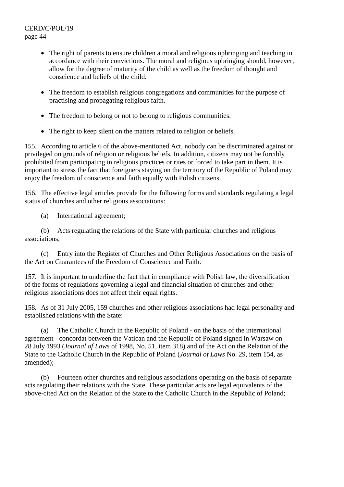- The right of parents to ensure children a moral and religious upbringing and teaching in accordance with their convictions. The moral and religious upbringing should, however, allow for the degree of maturity of the child as well as the freedom of thought and conscience and beliefs of the child.
- The freedom to establish religious congregations and communities for the purpose of practising and propagating religious faith.
- The freedom to belong or not to belong to religious communities.
- The right to keep silent on the matters related to religion or beliefs.

155. According to article 6 of the above-mentioned Act, nobody can be discriminated against or privileged on grounds of religion or religious beliefs. In addition, citizens may not be forcibly prohibited from participating in religious practices or rites or forced to take part in them. It is important to stress the fact that foreigners staying on the territory of the Republic of Poland may enjoy the freedom of conscience and faith equally with Polish citizens.

156. The effective legal articles provide for the following forms and standards regulating a legal status of churches and other religious associations:

(a) International agreement;

 (b) Acts regulating the relations of the State with particular churches and religious associations;

 (c) Entry into the Register of Churches and Other Religious Associations on the basis of the Act on Guarantees of the Freedom of Conscience and Faith.

157. It is important to underline the fact that in compliance with Polish law, the diversification of the forms of regulations governing a legal and financial situation of churches and other religious associations does not affect their equal rights.

158. As of 31 July 2005, 159 churches and other religious associations had legal personality and established relations with the State:

 (a) The Catholic Church in the Republic of Poland - on the basis of the international agreement - concordat between the Vatican and the Republic of Poland signed in Warsaw on 28 July 1993 (*Journal of Laws* of 1998, No. 51, item 318) and of the Act on the Relation of the State to the Catholic Church in the Republic of Poland (*Journal of Laws* No. 29, item 154, as amended);

 (b) Fourteen other churches and religious associations operating on the basis of separate acts regulating their relations with the State. These particular acts are legal equivalents of the above-cited Act on the Relation of the State to the Catholic Church in the Republic of Poland;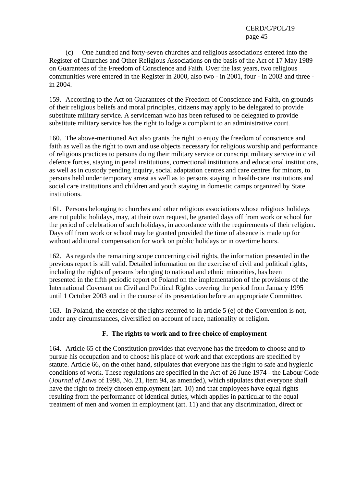(c) One hundred and forty-seven churches and religious associations entered into the Register of Churches and Other Religious Associations on the basis of the Act of 17 May 1989 on Guarantees of the Freedom of Conscience and Faith*.* Over the last years, two religious communities were entered in the Register in 2000, also two - in 2001, four - in 2003 and three in 2004.

159. According to the Act on Guarantees of the Freedom of Conscience and Faith, on grounds of their religious beliefs and moral principles, citizens may apply to be delegated to provide substitute military service. A serviceman who has been refused to be delegated to provide substitute military service has the right to lodge a complaint to an administrative court.

160. The above-mentioned Act also grants the right to enjoy the freedom of conscience and faith as well as the right to own and use objects necessary for religious worship and performance of religious practices to persons doing their military service or conscript military service in civil defence forces, staying in penal institutions, correctional institutions and educational institutions, as well as in custody pending inquiry, social adaptation centres and care centres for minors, to persons held under temporary arrest as well as to persons staying in health-care institutions and social care institutions and children and youth staying in domestic camps organized by State institutions.

161. Persons belonging to churches and other religious associations whose religious holidays are not public holidays, may, at their own request, be granted days off from work or school for the period of celebration of such holidays, in accordance with the requirements of their religion. Days off from work or school may be granted provided the time of absence is made up for without additional compensation for work on public holidays or in overtime hours.

162. As regards the remaining scope concerning civil rights, the information presented in the previous report is still valid. Detailed information on the exercise of civil and political rights, including the rights of persons belonging to national and ethnic minorities, has been presented in the fifth periodic report of Poland on the implementation of the provisions of the International Covenant on Civil and Political Rights covering the period from January 1995 until 1 October 2003 and in the course of its presentation before an appropriate Committee.

163. In Poland, the exercise of the rights referred to in article 5 (e) of the Convention is not, under any circumstances, diversified on account of race, nationality or religion.

## **F. The rights to work and to free choice of employment**

164. Article 65 of the Constitution provides that everyone has the freedom to choose and to pursue his occupation and to choose his place of work and that exceptions are specified by statute. Article 66, on the other hand, stipulates that everyone has the right to safe and hygienic conditions of work. These regulations are specified in the Act of 26 June 1974 - the Labour Code (*Journal of Laws* of 1998, No. 21, item 94, as amended), which stipulates that everyone shall have the right to freely chosen employment (art. 10) and that employees have equal rights resulting from the performance of identical duties, which applies in particular to the equal treatment of men and women in employment (art. 11) and that any discrimination, direct or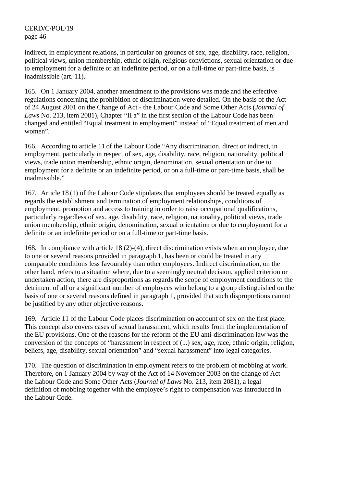indirect, in employment relations, in particular on grounds of sex, age, disability, race, religion, political views, union membership, ethnic origin, religious convictions, sexual orientation or due to employment for a definite or an indefinite period, or on a full-time or part-time basis, is inadmissible (art. 11).

165. On 1 January 2004, another amendment to the provisions was made and the effective regulations concerning the prohibition of discrimination were detailed. On the basis of the Act of 24 August 2001 on the Change of Act - the Labour Code and Some Other Acts (*Journal of Laws* No. 213, item 2081), Chapter "II a" in the first section of the Labour Code has been changed and entitled "Equal treatment in employment" instead of "Equal treatment of men and women".

166. According to article 11 of the Labour Code "Any discrimination, direct or indirect, in employment, particularly in respect of sex, age, disability, race, religion, nationality, political views, trade union membership, ethnic origin, denomination, sexual orientation or due to employment for a definite or an indefinite period, or on a full-time or part-time basis, shall be inadmissible."

167. Article 18 (1) of the Labour Code stipulates that employees should be treated equally as regards the establishment and termination of employment relationships, conditions of employment, promotion and access to training in order to raise occupational qualifications, particularly regardless of sex, age, disability, race, religion, nationality, political views, trade union membership, ethnic origin, denomination, sexual orientation or due to employment for a definite or an indefinite period or on a full-time or part-time basis.

168. In compliance with article 18 (2)-(4), direct discrimination exists when an employee, due to one or several reasons provided in paragraph 1, has been or could be treated in any comparable conditions less favourably than other employees. Indirect discrimination, on the other hand, refers to a situation where, due to a seemingly neutral decision, applied criterion or undertaken action, there are disproportions as regards the scope of employment conditions to the detriment of all or a significant number of employees who belong to a group distinguished on the basis of one or several reasons defined in paragraph 1, provided that such disproportions cannot be justified by any other objective reasons.

169. Article 11 of the Labour Code places discrimination on account of sex on the first place. This concept also covers cases of sexual harassment, which results from the implementation of the EU provisions. One of the reasons for the reform of the EU anti-discrimination law was the conversion of the concepts of "harassment in respect of (...) sex, age, race, ethnic origin, religion, beliefs, age, disability, sexual orientation" and "sexual harassment" into legal categories.

170. The question of discrimination in employment refers to the problem of mobbing at work. Therefore, on 1 January 2004 by way of the Act of 14 November 2003 on the change of Act the Labour Code and Some Other Acts (*Journal of Laws* No. 213, item 2081), a legal definition of mobbing together with the employee's right to compensation was introduced in the Labour Code.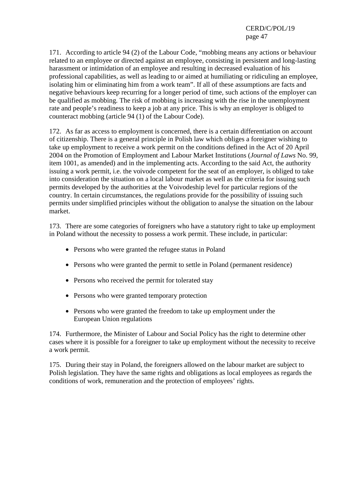171. According to article 94 (2) of the Labour Code, "mobbing means any actions or behaviour related to an employee or directed against an employee, consisting in persistent and long-lasting harassment or intimidation of an employee and resulting in decreased evaluation of his professional capabilities, as well as leading to or aimed at humiliating or ridiculing an employee, isolating him or eliminating him from a work team". If all of these assumptions are facts and negative behaviours keep recurring for a longer period of time, such actions of the employer can be qualified as mobbing. The risk of mobbing is increasing with the rise in the unemployment rate and people's readiness to keep a job at any price. This is why an employer is obliged to counteract mobbing (article 94 (1) of the Labour Code).

172. As far as access to employment is concerned, there is a certain differentiation on account of citizenship. There is a general principle in Polish law which obliges a foreigner wishing to take up employment to receive a work permit on the conditions defined in the Act of 20 April 2004 on the Promotion of Employment and Labour Market Institutions (*Journal of Laws* No. 99, item 1001, as amended) and in the implementing acts. According to the said Act, the authority issuing a work permit, i.e. the voivode competent for the seat of an employer, is obliged to take into consideration the situation on a local labour market as well as the criteria for issuing such permits developed by the authorities at the Voivodeship level for particular regions of the country. In certain circumstances, the regulations provide for the possibility of issuing such permits under simplified principles without the obligation to analyse the situation on the labour market.

173. There are some categories of foreigners who have a statutory right to take up employment in Poland without the necessity to possess a work permit. These include, in particular:

- Persons who were granted the refugee status in Poland
- Persons who were granted the permit to settle in Poland (permanent residence)
- Persons who received the permit for tolerated stay
- Persons who were granted temporary protection
- Persons who were granted the freedom to take up employment under the European Union regulations

174. Furthermore, the Minister of Labour and Social Policy has the right to determine other cases where it is possible for a foreigner to take up employment without the necessity to receive a work permit.

175. During their stay in Poland, the foreigners allowed on the labour market are subject to Polish legislation. They have the same rights and obligations as local employees as regards the conditions of work, remuneration and the protection of employees' rights.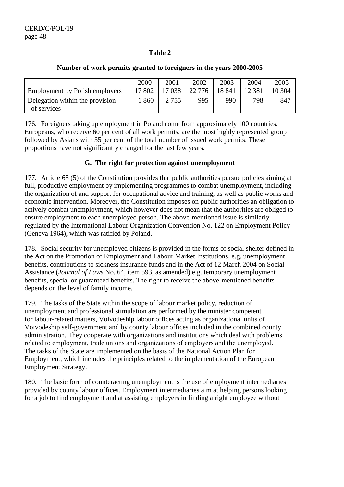### **Table 2**

|                                                | 2000   | 2001    | 2002     | 2003   | 2004     | 2005   |
|------------------------------------------------|--------|---------|----------|--------|----------|--------|
| <b>Employment by Polish employers</b>          | 17 802 | 17038   | 22 7 7 6 | 18 841 | 12 3 8 1 | 10 304 |
| Delegation within the provision<br>of services | 860    | 2 7 5 5 | 995      | 990    | 798      | 847    |
|                                                |        |         |          |        |          |        |

#### **Number of work permits granted to foreigners in the years 2000-2005**

176. Foreigners taking up employment in Poland come from approximately 100 countries. Europeans, who receive 60 per cent of all work permits, are the most highly represented group followed by Asians with 35 per cent of the total number of issued work permits. These proportions have not significantly changed for the last few years.

### **G. The right for protection against unemployment**

177. Article 65 (5) of the Constitution provides that public authorities pursue policies aiming at full, productive employment by implementing programmes to combat unemployment, including the organization of and support for occupational advice and training, as well as public works and economic intervention. Moreover, the Constitution imposes on public authorities an obligation to actively combat unemployment, which however does not mean that the authorities are obliged to ensure employment to each unemployed person. The above-mentioned issue is similarly regulated by the International Labour Organization Convention No. 122 on Employment Policy (Geneva 1964), which was ratified by Poland.

178. Social security for unemployed citizens is provided in the forms of social shelter defined in the Act on the Promotion of Employment and Labour Market Institutions, e.g. unemployment benefits, contributions to sickness insurance funds and in the Act of 12 March 2004 on Social Assistance (*Journal of Laws* No. 64, item 593, as amended) e.g. temporary unemployment benefits, special or guaranteed benefits. The right to receive the above-mentioned benefits depends on the level of family income.

179. The tasks of the State within the scope of labour market policy, reduction of unemployment and professional stimulation are performed by the minister competent for labour-related matters, Voivodeship labour offices acting as organizational units of Voivodeship self-government and by county labour offices included in the combined county administration. They cooperate with organizations and institutions which deal with problems related to employment, trade unions and organizations of employers and the unemployed. The tasks of the State are implemented on the basis of the National Action Plan for Employment, which includes the principles related to the implementation of the European Employment Strategy.

180. The basic form of counteracting unemployment is the use of employment intermediaries provided by county labour offices. Employment intermediaries aim at helping persons looking for a job to find employment and at assisting employers in finding a right employee without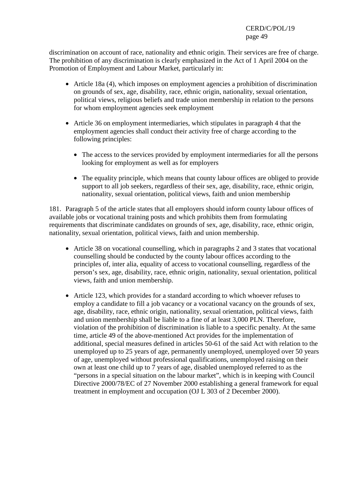discrimination on account of race, nationality and ethnic origin. Their services are free of charge. The prohibition of any discrimination is clearly emphasized in the Act of 1 April 2004 on the Promotion of Employment and Labour Market, particularly in:

- Article 18a (4), which imposes on employment agencies a prohibition of discrimination on grounds of sex, age, disability, race, ethnic origin, nationality, sexual orientation, political views, religious beliefs and trade union membership in relation to the persons for whom employment agencies seek employment
- Article 36 on employment intermediaries, which stipulates in paragraph 4 that the employment agencies shall conduct their activity free of charge according to the following principles:
	- The access to the services provided by employment intermediaries for all the persons looking for employment as well as for employers
	- The equality principle, which means that county labour offices are obliged to provide support to all job seekers, regardless of their sex, age, disability, race, ethnic origin, nationality, sexual orientation, political views, faith and union membership

181. Paragraph 5 of the article states that all employers should inform county labour offices of available jobs or vocational training posts and which prohibits them from formulating requirements that discriminate candidates on grounds of sex, age, disability, race, ethnic origin, nationality, sexual orientation, political views, faith and union membership.

- Article 38 on vocational counselling, which in paragraphs 2 and 3 states that vocational counselling should be conducted by the county labour offices according to the principles of, inter alia, equality of access to vocational counselling, regardless of the person's sex, age, disability, race, ethnic origin, nationality, sexual orientation, political views, faith and union membership.
- Article 123, which provides for a standard according to which whoever refuses to employ a candidate to fill a job vacancy or a vocational vacancy on the grounds of sex, age, disability, race, ethnic origin, nationality, sexual orientation, political views, faith and union membership shall be liable to a fine of at least 3,000 PLN. Therefore, violation of the prohibition of discrimination is liable to a specific penalty. At the same time, article 49 of the above-mentioned Act provides for the implementation of additional, special measures defined in articles 50-61 of the said Act with relation to the unemployed up to 25 years of age, permanently unemployed, unemployed over 50 years of age, unemployed without professional qualifications, unemployed raising on their own at least one child up to 7 years of age, disabled unemployed referred to as the "persons in a special situation on the labour market", which is in keeping with Council Directive 2000/78/EC of 27 November 2000 establishing a general framework for equal treatment in employment and occupation (OJ L 303 of 2 December 2000).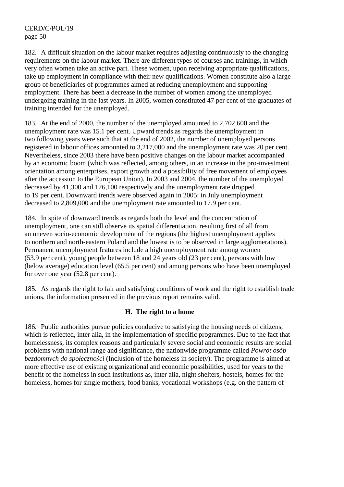182. A difficult situation on the labour market requires adjusting continuously to the changing requirements on the labour market. There are different types of courses and trainings, in which very often women take an active part. These women, upon receiving appropriate qualifications, take up employment in compliance with their new qualifications. Women constitute also a large group of beneficiaries of programmes aimed at reducing unemployment and supporting employment. There has been a decrease in the number of women among the unemployed undergoing training in the last years. In 2005, women constituted 47 per cent of the graduates of training intended for the unemployed.

183. At the end of 2000, the number of the unemployed amounted to 2,702,600 and the unemployment rate was 15.1 per cent. Upward trends as regards the unemployment in two following years were such that at the end of 2002, the number of unemployed persons registered in labour offices amounted to 3,217,000 and the unemployment rate was 20 per cent. Nevertheless, since 2003 there have been positive changes on the labour market accompanied by an economic boom (which was reflected, among others, in an increase in the pro-investment orientation among enterprises, export growth and a possibility of free movement of employees after the accession to the European Union). In 2003 and 2004, the number of the unemployed decreased by 41,300 and 176,100 respectively and the unemployment rate dropped to 19 per cent. Downward trends were observed again in 2005: in July unemployment decreased to 2,809,000 and the unemployment rate amounted to 17.9 per cent.

184. In spite of downward trends as regards both the level and the concentration of unemployment, one can still observe its spatial differentiation, resulting first of all from an uneven socio-economic development of the regions (the highest unemployment applies to northern and north-eastern Poland and the lowest is to be observed in large agglomerations). Permanent unemployment features include a high unemployment rate among women (53.9 per cent), young people between 18 and 24 years old (23 per cent), persons with low (below average) education level (65.5 per cent) and among persons who have been unemployed for over one year (52.8 per cent).

185. As regards the right to fair and satisfying conditions of work and the right to establish trade unions, the information presented in the previous report remains valid.

## **H. The right to a home**

186. Public authorities pursue policies conducive to satisfying the housing needs of citizens, which is reflected, inter alia, in the implementation of specific programmes. Due to the fact that homelessness, its complex reasons and particularly severe social and economic results are social problems with national range and significance, the nationwide programme called *Powrót osób bezdomnych do społeczności* (Inclusion of the homeless in society). The programme is aimed at more effective use of existing organizational and economic possibilities, used for years to the benefit of the homeless in such institutions as, inter alia, night shelters, hostels, homes for the homeless, homes for single mothers, food banks, vocational workshops (e.g. on the pattern of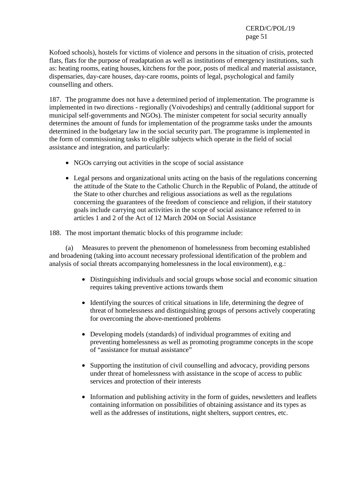Kofoed schools), hostels for victims of violence and persons in the situation of crisis, protected flats, flats for the purpose of readaptation as well as institutions of emergency institutions, such as: heating rooms, eating houses, kitchens for the poor, posts of medical and material assistance, dispensaries, day-care houses, day-care rooms, points of legal, psychological and family counselling and others.

187. The programme does not have a determined period of implementation. The programme is implemented in two directions - regionally (Voivodeships) and centrally (additional support for municipal self-governments and NGOs). The minister competent for social security annually determines the amount of funds for implementation of the programme tasks under the amounts determined in the budgetary law in the social security part. The programme is implemented in the form of commissioning tasks to eligible subjects which operate in the field of social assistance and integration, and particularly:

- NGOs carrying out activities in the scope of social assistance
- Legal persons and organizational units acting on the basis of the regulations concerning the attitude of the State to the Catholic Church in the Republic of Poland, the attitude of the State to other churches and religious associations as well as the regulations concerning the guarantees of the freedom of conscience and religion, if their statutory goals include carrying out activities in the scope of social assistance referred to in articles 1 and 2 of the Act of 12 March 2004 on Social Assistance

188. The most important thematic blocks of this programme include:

 (a) Measures to prevent the phenomenon of homelessness from becoming established and broadening (taking into account necessary professional identification of the problem and analysis of social threats accompanying homelessness in the local environment), e.g.:

- Distinguishing individuals and social groups whose social and economic situation requires taking preventive actions towards them
- Identifying the sources of critical situations in life, determining the degree of threat of homelessness and distinguishing groups of persons actively cooperating for overcoming the above-mentioned problems
- Developing models (standards) of individual programmes of exiting and preventing homelessness as well as promoting programme concepts in the scope of "assistance for mutual assistance"
- Supporting the institution of civil counselling and advocacy, providing persons under threat of homelessness with assistance in the scope of access to public services and protection of their interests
- Information and publishing activity in the form of guides, newsletters and leaflets containing information on possibilities of obtaining assistance and its types as well as the addresses of institutions, night shelters, support centres, etc.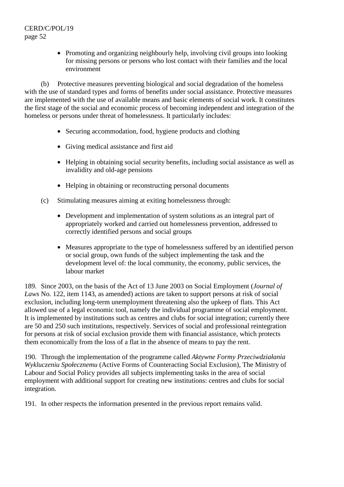• Promoting and organizing neighbourly help, involving civil groups into looking for missing persons or persons who lost contact with their families and the local environment

 (b) Protective measures preventing biological and social degradation of the homeless with the use of standard types and forms of benefits under social assistance. Protective measures are implemented with the use of available means and basic elements of social work. It constitutes the first stage of the social and economic process of becoming independent and integration of the homeless or persons under threat of homelessness. It particularly includes:

- Securing accommodation, food, hygiene products and clothing
- Giving medical assistance and first aid
- Helping in obtaining social security benefits, including social assistance as well as invalidity and old-age pensions
- Helping in obtaining or reconstructing personal documents
- (c) Stimulating measures aiming at exiting homelessness through:
	- Development and implementation of system solutions as an integral part of appropriately worked and carried out homelessness prevention, addressed to correctly identified persons and social groups
	- Measures appropriate to the type of homelessness suffered by an identified person or social group, own funds of the subject implementing the task and the development level of: the local community, the economy, public services, the labour market

189. Since 2003, on the basis of the Act of 13 June 2003 on Social Employment (*Journal of Laws* No. 122, item 1143, as amended) actions are taken to support persons at risk of social exclusion, including long-term unemployment threatening also the upkeep of flats. This Act allowed use of a legal economic tool, namely the individual programme of social employment. It is implemented by institutions such as centres and clubs for social integration; currently there are 50 and 250 such institutions, respectively. Services of social and professional reintegration for persons at risk of social exclusion provide them with financial assistance, which protects them economically from the loss of a flat in the absence of means to pay the rent.

190. Through the implementation of the programme called *Aktywne Formy Przeciwdziałania Wykluczeniu Społecznemu* (Active Forms of Counteracting Social Exclusion), The Ministry of Labour and Social Policy provides all subjects implementing tasks in the area of social employment with additional support for creating new institutions: centres and clubs for social integration.

191. In other respects the information presented in the previous report remains valid.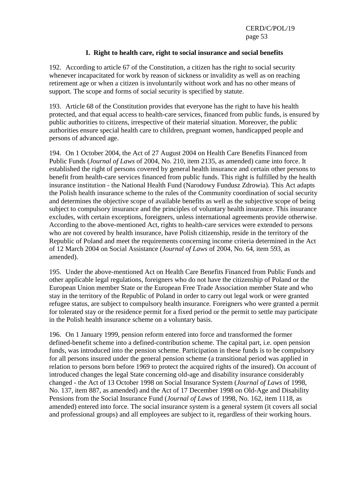## **I. Right to health care, right to social insurance and social benefits**

192. According to article 67 of the Constitution, a citizen has the right to social security whenever incapacitated for work by reason of sickness or invalidity as well as on reaching retirement age or when a citizen is involuntarily without work and has no other means of support. The scope and forms of social security is specified by statute.

193. Article 68 of the Constitution provides that everyone has the right to have his health protected, and that equal access to health-care services, financed from public funds, is ensured by public authorities to citizens, irrespective of their material situation. Moreover, the public authorities ensure special health care to children, pregnant women, handicapped people and persons of advanced age.

194. On 1 October 2004, the Act of 27 August 2004 on Health Care Benefits Financed from Public Funds (*Journal of Laws* of 2004, No. 210, item 2135, as amended) came into force. It established the right of persons covered by general health insurance and certain other persons to benefit from health-care services financed from public funds. This right is fulfilled by the health insurance institution - the National Health Fund (Narodowy Fundusz Zdrowia). This Act adapts the Polish health insurance scheme to the rules of the Community coordination of social security and determines the objective scope of available benefits as well as the subjective scope of being subject to compulsory insurance and the principles of voluntary health insurance. This insurance excludes, with certain exceptions, foreigners, unless international agreements provide otherwise. According to the above-mentioned Act, rights to health-care services were extended to persons who are not covered by health insurance, have Polish citizenship, reside in the territory of the Republic of Poland and meet the requirements concerning income criteria determined in the Act of 12 March 2004 on Social Assistance (*Journal of Laws* of 2004, No. 64, item 593, as amended).

195. Under the above-mentioned Act on Health Care Benefits Financed from Public Funds and other applicable legal regulations, foreigners who do not have the citizenship of Poland or the European Union member State or the European Free Trade Association member State and who stay in the territory of the Republic of Poland in order to carry out legal work or were granted refugee status, are subject to compulsory health insurance. Foreigners who were granted a permit for tolerated stay or the residence permit for a fixed period or the permit to settle may participate in the Polish health insurance scheme on a voluntary basis.

196. On 1 January 1999, pension reform entered into force and transformed the former defined-benefit scheme into a defined-contribution scheme. The capital part, i.e. open pension funds, was introduced into the pension scheme. Participation in these funds is to be compulsory for all persons insured under the general pension scheme (a transitional period was applied in relation to persons born before 1969 to protect the acquired rights of the insured). On account of introduced changes the legal State concerning old-age and disability insurance considerably changed - the Act of 13 October 1998 on Social Insurance System (*Journal of Laws* of 1998, No. 137, item 887, as amended) and the Act of 17 December 1998 on Old-Age and Disability Pensions from the Social Insurance Fund (*Journal of Laws* of 1998, No. 162, item 1118, as amended) entered into force. The social insurance system is a general system (it covers all social and professional groups) and all employees are subject to it, regardless of their working hours.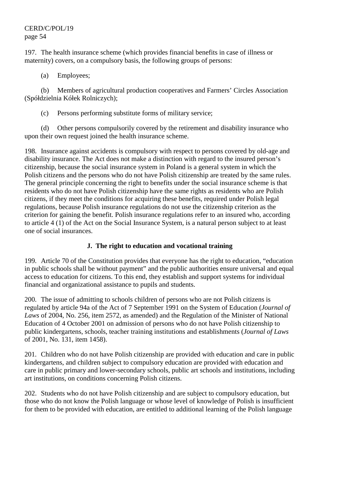197. The health insurance scheme (which provides financial benefits in case of illness or maternity) covers, on a compulsory basis, the following groups of persons:

(a) Employees;

 (b) Members of agricultural production cooperatives and Farmers' Circles Association (Spółdzielnia Kółek Rolniczych);

(c) Persons performing substitute forms of military service;

 (d) Other persons compulsorily covered by the retirement and disability insurance who upon their own request joined the health insurance scheme.

198. Insurance against accidents is compulsory with respect to persons covered by old-age and disability insurance. The Act does not make a distinction with regard to the insured person's citizenship, because the social insurance system in Poland is a general system in which the Polish citizens and the persons who do not have Polish citizenship are treated by the same rules. The general principle concerning the right to benefits under the social insurance scheme is that residents who do not have Polish citizenship have the same rights as residents who are Polish citizens, if they meet the conditions for acquiring these benefits, required under Polish legal regulations, because Polish insurance regulations do not use the citizenship criterion as the criterion for gaining the benefit. Polish insurance regulations refer to an insured who, according to article 4 (1) of the Act on the Social Insurance System, is a natural person subject to at least one of social insurances.

## **J. The right to education and vocational training**

199. Article 70 of the Constitution provides that everyone has the right to education, "education in public schools shall be without payment" and the public authorities ensure universal and equal access to education for citizens. To this end, they establish and support systems for individual financial and organizational assistance to pupils and students.

200. The issue of admitting to schools children of persons who are not Polish citizens is regulated by article 94a of the Act of 7 September 1991 on the System of Education (*Journal of Laws* of 2004, No. 256, item 2572, as amended) and the Regulation of the Minister of National Education of 4 October 2001 on admission of persons who do not have Polish citizenship to public kindergartens, schools, teacher training institutions and establishments (*Journal of Laws* of 2001, No. 131, item 1458).

201. Children who do not have Polish citizenship are provided with education and care in public kindergartens, and children subject to compulsory education are provided with education and care in public primary and lower-secondary schools, public art schools and institutions, including art institutions, on conditions concerning Polish citizens.

202. Students who do not have Polish citizenship and are subject to compulsory education, but those who do not know the Polish language or whose level of knowledge of Polish is insufficient for them to be provided with education, are entitled to additional learning of the Polish language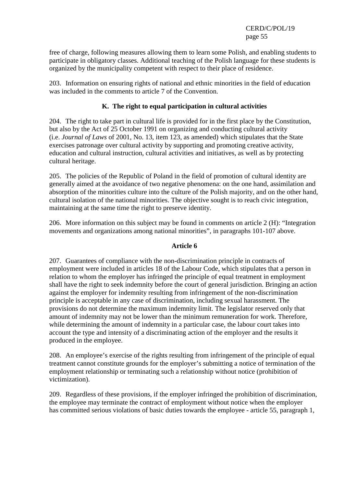free of charge, following measures allowing them to learn some Polish, and enabling students to participate in obligatory classes. Additional teaching of the Polish language for these students is organized by the municipality competent with respect to their place of residence.

203. Information on ensuring rights of national and ethnic minorities in the field of education was included in the comments to article 7 of the Convention.

## **K. The right to equal participation in cultural activities**

204. The right to take part in cultural life is provided for in the first place by the Constitution, but also by the Act of 25 October 1991 on organizing and conducting cultural activity (i.e. *Journal of Laws* of 2001, No. 13, item 123, as amended) which stipulates that the State exercises patronage over cultural activity by supporting and promoting creative activity, education and cultural instruction, cultural activities and initiatives, as well as by protecting cultural heritage.

205. The policies of the Republic of Poland in the field of promotion of cultural identity are generally aimed at the avoidance of two negative phenomena: on the one hand, assimilation and absorption of the minorities culture into the culture of the Polish majority, and on the other hand, cultural isolation of the national minorities. The objective sought is to reach civic integration, maintaining at the same time the right to preserve identity.

206. More information on this subject may be found in comments on article 2 (H): "Integration movements and organizations among national minorities", in paragraphs 101-107 above.

## **Article 6**

207. Guarantees of compliance with the non-discrimination principle in contracts of employment were included in articles 18 of the Labour Code, which stipulates that a person in relation to whom the employer has infringed the principle of equal treatment in employment shall have the right to seek indemnity before the court of general jurisdiction. Bringing an action against the employer for indemnity resulting from infringement of the non-discrimination principle is acceptable in any case of discrimination, including sexual harassment. The provisions do not determine the maximum indemnity limit. The legislator reserved only that amount of indemnity may not be lower than the minimum remuneration for work. Therefore, while determining the amount of indemnity in a particular case, the labour court takes into account the type and intensity of a discriminating action of the employer and the results it produced in the employee.

208. An employee's exercise of the rights resulting from infringement of the principle of equal treatment cannot constitute grounds for the employer's submitting a notice of termination of the employment relationship or terminating such a relationship without notice (prohibition of victimization).

209. Regardless of these provisions, if the employer infringed the prohibition of discrimination, the employee may terminate the contract of employment without notice when the employer has committed serious violations of basic duties towards the employee - article 55, paragraph 1,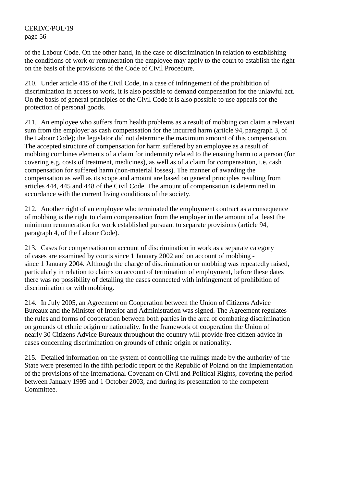of the Labour Code. On the other hand, in the case of discrimination in relation to establishing the conditions of work or remuneration the employee may apply to the court to establish the right on the basis of the provisions of the Code of Civil Procedure.

210. Under article 415 of the Civil Code, in a case of infringement of the prohibition of discrimination in access to work, it is also possible to demand compensation for the unlawful act. On the basis of general principles of the Civil Code it is also possible to use appeals for the protection of personal goods.

211. An employee who suffers from health problems as a result of mobbing can claim a relevant sum from the employer as cash compensation for the incurred harm (article 94, paragraph 3, of the Labour Code); the legislator did not determine the maximum amount of this compensation. The accepted structure of compensation for harm suffered by an employee as a result of mobbing combines elements of a claim for indemnity related to the ensuing harm to a person (for covering e.g. costs of treatment, medicines), as well as of a claim for compensation, i.e. cash compensation for suffered harm (non-material losses). The manner of awarding the compensation as well as its scope and amount are based on general principles resulting from articles 444, 445 and 448 of the Civil Code. The amount of compensation is determined in accordance with the current living conditions of the society.

212. Another right of an employee who terminated the employment contract as a consequence of mobbing is the right to claim compensation from the employer in the amount of at least the minimum remuneration for work established pursuant to separate provisions (article 94, paragraph 4, of the Labour Code).

213. Cases for compensation on account of discrimination in work as a separate category of cases are examined by courts since 1 January 2002 and on account of mobbing since 1 January 2004. Although the charge of discrimination or mobbing was repeatedly raised, particularly in relation to claims on account of termination of employment, before these dates there was no possibility of detailing the cases connected with infringement of prohibition of discrimination or with mobbing.

214. In July 2005, an Agreement on Cooperation between the Union of Citizens Advice Bureaux and the Minister of Interior and Administration was signed. The Agreement regulates the rules and forms of cooperation between both parties in the area of combating discrimination on grounds of ethnic origin or nationality. In the framework of cooperation the Union of nearly 30 Citizens Advice Bureaux throughout the country will provide free citizen advice in cases concerning discrimination on grounds of ethnic origin or nationality.

215. Detailed information on the system of controlling the rulings made by the authority of the State were presented in the fifth periodic report of the Republic of Poland on the implementation of the provisions of the International Covenant on Civil and Political Rights, covering the period between January 1995 and 1 October 2003, and during its presentation to the competent Committee.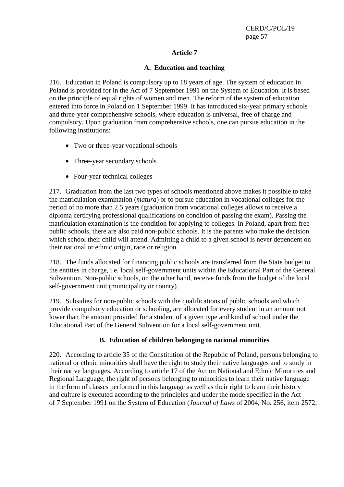## **Article 7**

## **A. Education and teaching**

216. Education in Poland is compulsory up to 18 years of age. The system of education in Poland is provided for in the Act of 7 September 1991 on the System of Education. It is based on the principle of equal rights of women and men. The reform of the system of education entered into force in Poland on 1 September 1999. It has introduced six-year primary schools and three-year comprehensive schools, where education is universal, free of charge and compulsory. Upon graduation from comprehensive schools, one can pursue education in the following institutions:

- Two or three-year vocational schools
- Three-year secondary schools
- Four-year technical colleges

217. Graduation from the last two types of schools mentioned above makes it possible to take the matriculation examination (*matura*) or to pursue education in vocational colleges for the period of no more than 2.5 years (graduation from vocational colleges allows to receive a diploma certifying professional qualifications on condition of passing the exam). Passing the matriculation examination is the condition for applying to colleges. In Poland, apart from free public schools, there are also paid non-public schools. It is the parents who make the decision which school their child will attend. Admitting a child to a given school is never dependent on their national or ethnic origin, race or religion.

218. The funds allocated for financing public schools are transferred from the State budget to the entities in charge, i.e. local self-government units within the Educational Part of the General Subvention. Non-public schools, on the other hand, receive funds from the budget of the local self-government unit (municipality or county).

219. Subsidies for non-public schools with the qualifications of public schools and which provide compulsory education or schooling, are allocated for every student in an amount not lower than the amount provided for a student of a given type and kind of school under the Educational Part of the General Subvention for a local self-government unit.

## **B. Education of children belonging to national minorities**

220. According to article 35 of the Constitution of the Republic of Poland, persons belonging to national or ethnic minorities shall have the right to study their native languages and to study in their native languages. According to article 17 of the Act on National and Ethnic Minorities and Regional Language, the right of persons belonging to minorities to learn their native language in the form of classes performed in this language as well as their right to learn their history and culture is executed according to the principles and under the mode specified in the Act of 7 September 1991 on the System of Education (*Journal of Laws* of 2004, No. 256, item 2572;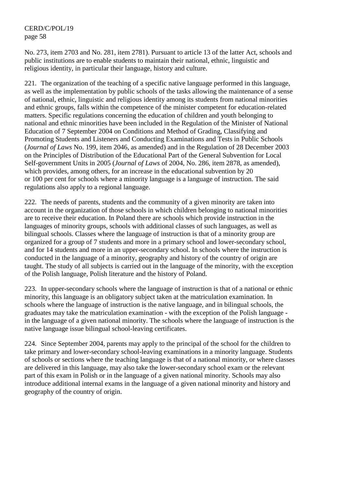No. 273, item 2703 and No. 281, item 2781). Pursuant to article 13 of the latter Act, schools and public institutions are to enable students to maintain their national, ethnic, linguistic and religious identity, in particular their language, history and culture.

221. The organization of the teaching of a specific native language performed in this language, as well as the implementation by public schools of the tasks allowing the maintenance of a sense of national, ethnic, linguistic and religious identity among its students from national minorities and ethnic groups, falls within the competence of the minister competent for education-related matters. Specific regulations concerning the education of children and youth belonging to national and ethnic minorities have been included in the Regulation of the Minister of National Education of 7 September 2004 on Conditions and Method of Grading, Classifying and Promoting Students and Listeners and Conducting Examinations and Tests in Public Schools (*Journal of Laws* No. 199, item 2046, as amended) and in the Regulation of 28 December 2003 on the Principles of Distribution of the Educational Part of the General Subvention for Local Self-government Units in 2005 (*Journal of Laws* of 2004, No. 286, item 2878, as amended), which provides, among others, for an increase in the educational subvention by 20 or 100 per cent for schools where a minority language is a language of instruction. The said regulations also apply to a regional language.

222. The needs of parents, students and the community of a given minority are taken into account in the organization of those schools in which children belonging to national minorities are to receive their education. In Poland there are schools which provide instruction in the languages of minority groups, schools with additional classes of such languages, as well as bilingual schools. Classes where the language of instruction is that of a minority group are organized for a group of 7 students and more in a primary school and lower-secondary school, and for 14 students and more in an upper-secondary school. In schools where the instruction is conducted in the language of a minority, geography and history of the country of origin are taught. The study of all subjects is carried out in the language of the minority, with the exception of the Polish language, Polish literature and the history of Poland.

223. In upper-secondary schools where the language of instruction is that of a national or ethnic minority, this language is an obligatory subject taken at the matriculation examination. In schools where the language of instruction is the native language, and in bilingual schools, the graduates may take the matriculation examination - with the exception of the Polish language in the language of a given national minority. The schools where the language of instruction is the native language issue bilingual school-leaving certificates.

224. Since September 2004, parents may apply to the principal of the school for the children to take primary and lower-secondary school-leaving examinations in a minority language. Students of schools or sections where the teaching language is that of a national minority, or where classes are delivered in this language, may also take the lower-secondary school exam or the relevant part of this exam in Polish or in the language of a given national minority. Schools may also introduce additional internal exams in the language of a given national minority and history and geography of the country of origin.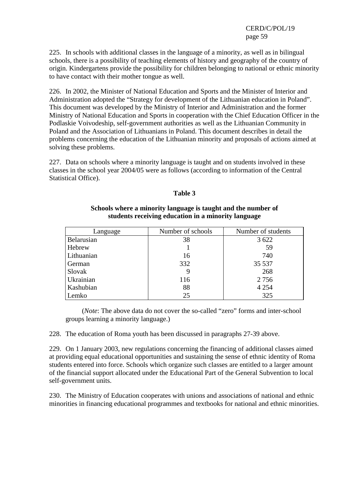225. In schools with additional classes in the language of a minority, as well as in bilingual schools, there is a possibility of teaching elements of history and geography of the country of origin. Kindergartens provide the possibility for children belonging to national or ethnic minority to have contact with their mother tongue as well.

226. In 2002, the Minister of National Education and Sports and the Minister of Interior and Administration adopted the "Strategy for development of the Lithuanian education in Poland". This document was developed by the Ministry of Interior and Administration and the former Ministry of National Education and Sports in cooperation with the Chief Education Officer in the Podlaskie Voivodeship, self-government authorities as well as the Lithuanian Community in Poland and the Association of Lithuanians in Poland. This document describes in detail the problems concerning the education of the Lithuanian minority and proposals of actions aimed at solving these problems.

227. Data on schools where a minority language is taught and on students involved in these classes in the school year 2004/05 were as follows (according to information of the Central Statistical Office).

#### **Table 3**

| Language   | Number of schools | Number of students |
|------------|-------------------|--------------------|
| Belarusian | 38                | 3 6 2 2            |
| Hebrew     |                   | 59                 |
| Lithuanian | 16                | 740                |
| German     | 332               | 35 5 37            |
| Slovak     | 9                 | 268                |
| Ukrainian  | 116               | 2 7 5 6            |
| Kashubian  | 88                | 4 2 5 4            |
| Lemko      | 25                | 325                |

### **Schools where a minority language is taught and the number of students receiving education in a minority language**

 (*Note*: The above data do not cover the so-called "zero" forms and inter-school groups learning a minority language.)

228. The education of Roma youth has been discussed in paragraphs 27-39 above.

229. On 1 January 2003, new regulations concerning the financing of additional classes aimed at providing equal educational opportunities and sustaining the sense of ethnic identity of Roma students entered into force. Schools which organize such classes are entitled to a larger amount of the financial support allocated under the Educational Part of the General Subvention to local self-government units.

230. The Ministry of Education cooperates with unions and associations of national and ethnic minorities in financing educational programmes and textbooks for national and ethnic minorities.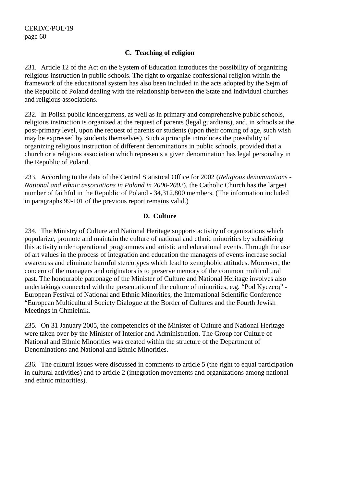## **C. Teaching of religion**

231. Article 12 of the Act on the System of Education introduces the possibility of organizing religious instruction in public schools. The right to organize confessional religion within the framework of the educational system has also been included in the acts adopted by the Sejm of the Republic of Poland dealing with the relationship between the State and individual churches and religious associations.

232. In Polish public kindergartens, as well as in primary and comprehensive public schools, religious instruction is organized at the request of parents (legal guardians), and, in schools at the post-primary level, upon the request of parents or students (upon their coming of age, such wish may be expressed by students themselves). Such a principle introduces the possibility of organizing religious instruction of different denominations in public schools, provided that a church or a religious association which represents a given denomination has legal personality in the Republic of Poland.

233. According to the data of the Central Statistical Office for 2002 (*Religious denominations - National and ethnic associations in Poland in 2000-2002*), the Catholic Church has the largest number of faithful in the Republic of Poland - 34,312,800 members. (The information included in paragraphs 99-101 of the previous report remains valid.)

## **D. Culture**

234. The Ministry of Culture and National Heritage supports activity of organizations which popularize, promote and maintain the culture of national and ethnic minorities by subsidizing this activity under operational programmes and artistic and educational events. Through the use of art values in the process of integration and education the managers of events increase social awareness and eliminate harmful stereotypes which lead to xenophobic attitudes. Moreover, the concern of the managers and originators is to preserve memory of the common multicultural past. The honourable patronage of the Minister of Culture and National Heritage involves also undertakings connected with the presentation of the culture of minorities, e.g. "Pod Kyczerą" - European Festival of National and Ethnic Minorities, the International Scientific Conference "European Multicultural Society Dialogue at the Border of Cultures and the Fourth Jewish Meetings in Chmielnik.

235. On 31 January 2005, the competencies of the Minister of Culture and National Heritage were taken over by the Minister of Interior and Administration. The Group for Culture of National and Ethnic Minorities was created within the structure of the Department of Denominations and National and Ethnic Minorities.

236. The cultural issues were discussed in comments to article 5 (the right to equal participation in cultural activities) and to article 2 (integration movements and organizations among national and ethnic minorities).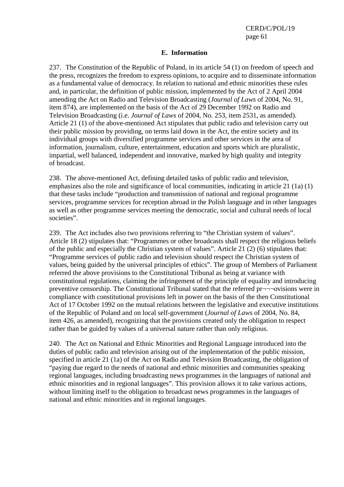#### **E. Information**

237. The Constitution of the Republic of Poland, in its article 54 (1) on freedom of speech and the press, recognizes the freedom to express opinions, to acquire and to disseminate information as a fundamental value of democracy. In relation to national and ethnic minorities these rules and, in particular, the definition of public mission, implemented by the Act of 2 April 2004 amending the Act on Radio and Television Broadcasting (*Journal of Laws* of 2004, No. 91, item 874), are implemented on the basis of the Act of 29 December 1992 on Radio and Television Broadcasting (i.e. *Journal of Laws* of 2004, No. 253, item 2531, as amended). Article 21 (1) of the above-mentioned Act stipulates that public radio and television carry out their public mission by providing, on terms laid down in the Act, the entire society and its individual groups with diversified programme services and other services in the area of information, journalism, culture, entertainment, education and sports which are pluralistic, impartial, well balanced, independent and innovative, marked by high quality and integrity of broadcast.

238. The above-mentioned Act, defining detailed tasks of public radio and television, emphasizes also the role and significance of local communities, indicating in article 21 (1a) (1) that these tasks include "production and transmission of national and regional programme services, programme services for reception abroad in the Polish language and in other languages as well as other programme services meeting the democratic, social and cultural needs of local societies".

239. The Act includes also two provisions referring to "the Christian system of values". Article 18 (2) stipulates that: "Programmes or other broadcasts shall respect the religious beliefs of the public and especially the Christian system of values". Article 21 (2) (6) stipulates that: "Programme services of public radio and television should respect the Christian system of values, being guided by the universal principles of ethics". The group of Members of Parliament referred the above provisions to the Constitutional Tribunal as being at variance with constitutional regulations, claiming the infringement of the principle of equality and introducing preventive censorship. The Constitutional Tribunal stated that the referred pr¬¬¬ovisions were in compliance with constitutional provisions left in power on the basis of the then Constitutional Act of 17 October 1992 on the mutual relations between the legislative and executive institutions of the Republic of Poland and on local self-government (*Journal of Laws* of 2004, No. 84, item 426, as amended), recognizing that the provisions created only the obligation to respect rather than be guided by values of a universal nature rather than only religious.

240. The Act on National and Ethnic Minorities and Regional Language introduced into the duties of public radio and television arising out of the implementation of the public mission, specified in article 21 (1a) of the Act on Radio and Television Broadcasting, the obligation of "paying due regard to the needs of national and ethnic minorities and communities speaking regional languages, including broadcasting news programmes in the languages of national and ethnic minorities and in regional languages". This provision allows it to take various actions, without limiting itself to the obligation to broadcast news programmes in the languages of national and ethnic minorities and in regional languages.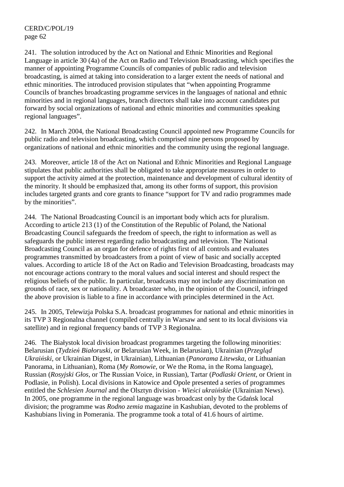241. The solution introduced by the Act on National and Ethnic Minorities and Regional Language in article 30 (4a) of the Act on Radio and Television Broadcasting, which specifies the manner of appointing Programme Councils of companies of public radio and television broadcasting, is aimed at taking into consideration to a larger extent the needs of national and ethnic minorities. The introduced provision stipulates that "when appointing Programme Councils of branches broadcasting programme services in the languages of national and ethnic minorities and in regional languages, branch directors shall take into account candidates put forward by social organizations of national and ethnic minorities and communities speaking regional languages".

242. In March 2004, the National Broadcasting Council appointed new Programme Councils for public radio and television broadcasting, which comprised nine persons proposed by organizations of national and ethnic minorities and the community using the regional language.

243. Moreover, article 18 of the Act on National and Ethnic Minorities and Regional Language stipulates that public authorities shall be obligated to take appropriate measures in order to support the activity aimed at the protection, maintenance and development of cultural identity of the minority. It should be emphasized that, among its other forms of support, this provision includes targeted grants and core grants to finance "support for TV and radio programmes made by the minorities".

244. The National Broadcasting Council is an important body which acts for pluralism. According to article 213 (1) of the Constitution of the Republic of Poland, the National Broadcasting Council safeguards the freedom of speech, the right to information as well as safeguards the public interest regarding radio broadcasting and television. The National Broadcasting Council as an organ for defence of rights first of all controls and evaluates programmes transmitted by broadcasters from a point of view of basic and socially accepted values. According to article 18 of the Act on Radio and Television Broadcasting, broadcasts may not encourage actions contrary to the moral values and social interest and should respect the religious beliefs of the public. In particular, broadcasts may not include any discrimination on grounds of race, sex or nationality. A broadcaster who, in the opinion of the Council, infringed the above provision is liable to a fine in accordance with principles determined in the Act.

245. In 2005, Telewizja Polska S.A. broadcast programmes for national and ethnic minorities in its TVP 3 Regionalna channel (compiled centrally in Warsaw and sent to its local divisions via satellite) and in regional frequency bands of TVP 3 Regionalna.

246. The Białystok local division broadcast programmes targeting the following minorities: Belarusian (*Tydzień Białoruski*, or Belarusian Week, in Belarusian), Ukrainian (*Przegląd Ukraiński*, or Ukrainian Digest, in Ukrainian), Lithuanian (*Panorama Litewska*, or Lithuanian Panorama, in Lithuanian), Roma (*My Romowie*, or We the Roma, in the Roma language), Russian (*Rosyjski Głos*, or The Russian Voice, in Russian), Tartar (*Podlaski Orient*, or Orient in Podlasie, in Polish). Local divisions in Katowice and Opole presented a series of programmes entitled the *Schlesien Journal* and the Olsztyn division - *Wieści ukraińskie* (Ukrainian News). In 2005, one programme in the regional language was broadcast only by the Gdańsk local division; the programme was *Rodno zemia* magazine in Kashubian, devoted to the problems of Kashubians living in Pomerania. The programme took a total of 41.6 hours of airtime.